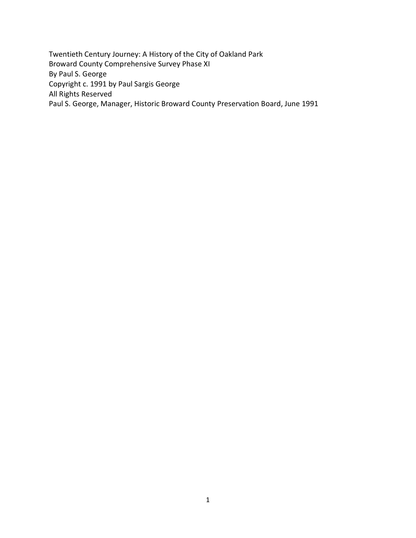Twentieth Century Journey: A History of the City of Oakland Park Broward County Comprehensive Survey Phase XI By Paul S. George Copyright c. 1991 by Paul Sargis George All Rights Reserved Paul S. George, Manager, Historic Broward County Preservation Board, June 1991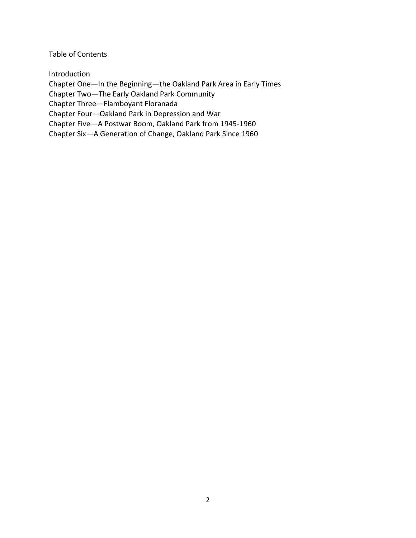Table of Contents

Introduction

Chapter One—In the Beginning—the Oakland Park Area in Early Times

Chapter Two—The Early Oakland Park Community

Chapter Three—Flamboyant Floranada

Chapter Four—Oakland Park in Depression and War

Chapter Five—A Postwar Boom, Oakland Park from 1945-1960

Chapter Six—A Generation of Change, Oakland Park Since 1960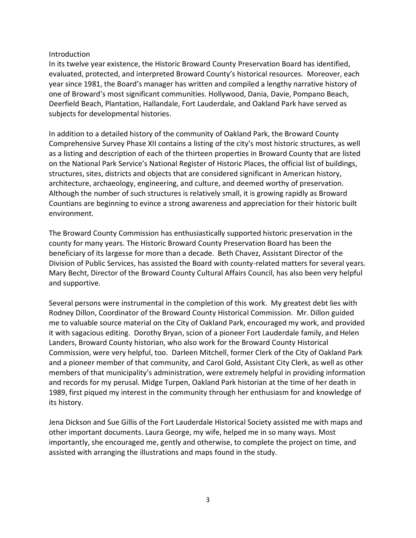#### Introduction

In its twelve year existence, the Historic Broward County Preservation Board has identified, evaluated, protected, and interpreted Broward County's historical resources. Moreover, each year since 1981, the Board's manager has written and compiled a lengthy narrative history of one of Broward's most significant communities. Hollywood, Dania, Davie, Pompano Beach, Deerfield Beach, Plantation, Hallandale, Fort Lauderdale, and Oakland Park have served as subjects for developmental histories.

In addition to a detailed history of the community of Oakland Park, the Broward County Comprehensive Survey Phase XII contains a listing of the city's most historic structures, as well as a listing and description of each of the thirteen properties in Broward County that are listed on the National Park Service's National Register of Historic Places, the official list of buildings, structures, sites, districts and objects that are considered significant in American history, architecture, archaeology, engineering, and culture, and deemed worthy of preservation. Although the number of such structures is relatively small, it is growing rapidly as Broward Countians are beginning to evince a strong awareness and appreciation for their historic built environment.

The Broward County Commission has enthusiastically supported historic preservation in the county for many years. The Historic Broward County Preservation Board has been the beneficiary of its largesse for more than a decade. Beth Chavez, Assistant Director of the Division of Public Services, has assisted the Board with county-related matters for several years. Mary Becht, Director of the Broward County Cultural Affairs Council, has also been very helpful and supportive.

Several persons were instrumental in the completion of this work. My greatest debt lies with Rodney Dillon, Coordinator of the Broward County Historical Commission. Mr. Dillon guided me to valuable source material on the City of Oakland Park, encouraged my work, and provided it with sagacious editing. Dorothy Bryan, scion of a pioneer Fort Lauderdale family, and Helen Landers, Broward County historian, who also work for the Broward County Historical Commission, were very helpful, too. Darleen Mitchell, former Clerk of the City of Oakland Park and a pioneer member of that community, and Carol Gold, Assistant City Clerk, as well as other members of that municipality's administration, were extremely helpful in providing information and records for my perusal. Midge Turpen, Oakland Park historian at the time of her death in 1989, first piqued my interest in the community through her enthusiasm for and knowledge of its history.

Jena Dickson and Sue Gillis of the Fort Lauderdale Historical Society assisted me with maps and other important documents. Laura George, my wife, helped me in so many ways. Most importantly, she encouraged me, gently and otherwise, to complete the project on time, and assisted with arranging the illustrations and maps found in the study.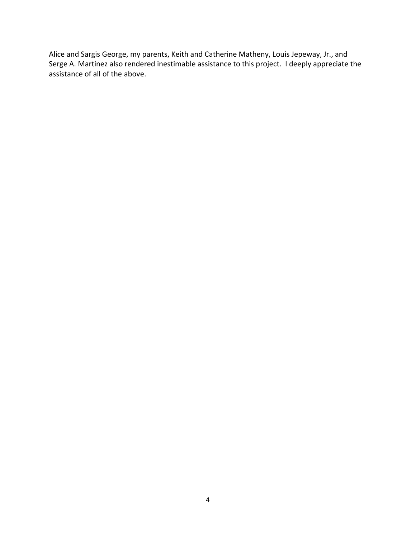Alice and Sargis George, my parents, Keith and Catherine Matheny, Louis Jepeway, Jr., and Serge A. Martinez also rendered inestimable assistance to this project. I deeply appreciate the assistance of all of the above.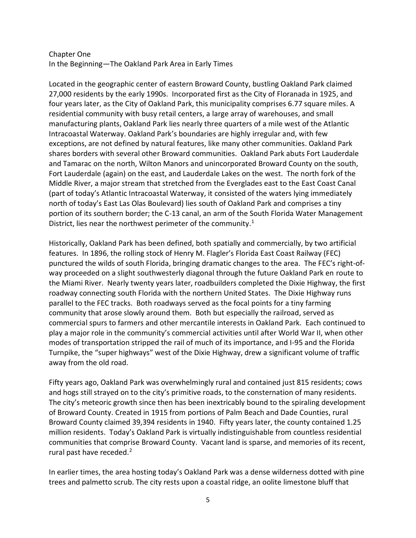# Chapter One In the Beginning—The Oakland Park Area in Early Times

Located in the geographic center of eastern Broward County, bustling Oakland Park claimed 27,000 residents by the early 1990s. Incorporated first as the City of Floranada in 1925, and four years later, as the City of Oakland Park, this municipality comprises 6.77 square miles. A residential community with busy retail centers, a large array of warehouses, and small manufacturing plants, Oakland Park lies nearly three quarters of a mile west of the Atlantic Intracoastal Waterway. Oakland Park's boundaries are highly irregular and, with few exceptions, are not defined by natural features, like many other communities. Oakland Park shares borders with several other Broward communities. Oakland Park abuts Fort Lauderdale and Tamarac on the north, Wilton Manors and unincorporated Broward County on the south, Fort Lauderdale (again) on the east, and Lauderdale Lakes on the west. The north fork of the Middle River, a major stream that stretched from the Everglades east to the East Coast Canal (part of today's Atlantic Intracoastal Waterway, it consisted of the waters lying immediately north of today's East Las Olas Boulevard) lies south of Oakland Park and comprises a tiny portion of its southern border; the C-13 canal, an arm of the South Florida Water Management District, lies near the northwest perimeter of the community.<sup>1</sup>

Historically, Oakland Park has been defined, both spatially and commercially, by two artificial features. In 1896, the rolling stock of Henry M. Flagler's Florida East Coast Railway (FEC) punctured the wilds of south Florida, bringing dramatic changes to the area. The FEC's right-ofway proceeded on a slight southwesterly diagonal through the future Oakland Park en route to the Miami River. Nearly twenty years later, roadbuilders completed the Dixie Highway, the first roadway connecting south Florida with the northern United States. The Dixie Highway runs parallel to the FEC tracks. Both roadways served as the focal points for a tiny farming community that arose slowly around them. Both but especially the railroad, served as commercial spurs to farmers and other mercantile interests in Oakland Park. Each continued to play a major role in the community's commercial activities until after World War II, when other modes of transportation stripped the rail of much of its importance, and I-95 and the Florida Turnpike, the "super highways" west of the Dixie Highway, drew a significant volume of traffic away from the old road.

Fifty years ago, Oakland Park was overwhelmingly rural and contained just 815 residents; cows and hogs still strayed on to the city's primitive roads, to the consternation of many residents. The city's meteoric growth since then has been inextricably bound to the spiraling development of Broward County. Created in 1915 from portions of Palm Beach and Dade Counties, rural Broward County claimed 39,394 residents in 1940. Fifty years later, the county contained 1.25 million residents. Today's Oakland Park is virtually indistinguishable from countless residential communities that comprise Broward County. Vacant land is sparse, and memories of its recent, rural past have receded.<sup>2</sup>

In earlier times, the area hosting today's Oakland Park was a dense wilderness dotted with pine trees and palmetto scrub. The city rests upon a coastal ridge, an oolite limestone bluff that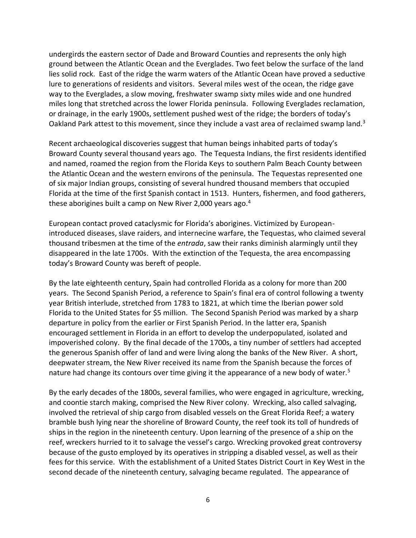undergirds the eastern sector of Dade and Broward Counties and represents the only high ground between the Atlantic Ocean and the Everglades. Two feet below the surface of the land lies solid rock. East of the ridge the warm waters of the Atlantic Ocean have proved a seductive lure to generations of residents and visitors. Several miles west of the ocean, the ridge gave way to the Everglades, a slow moving, freshwater swamp sixty miles wide and one hundred miles long that stretched across the lower Florida peninsula. Following Everglades reclamation, or drainage, in the early 1900s, settlement pushed west of the ridge; the borders of today's Oakland Park attest to this movement, since they include a vast area of reclaimed swamp land.<sup>3</sup>

Recent archaeological discoveries suggest that human beings inhabited parts of today's Broward County several thousand years ago. The Tequesta Indians, the first residents identified and named, roamed the region from the Florida Keys to southern Palm Beach County between the Atlantic Ocean and the western environs of the peninsula. The Tequestas represented one of six major Indian groups, consisting of several hundred thousand members that occupied Florida at the time of the first Spanish contact in 1513. Hunters, fishermen, and food gatherers, these aborigines built a camp on New River 2,000 years ago.<sup>4</sup>

European contact proved cataclysmic for Florida's aborigines. Victimized by Europeanintroduced diseases, slave raiders, and internecine warfare, the Tequestas, who claimed several thousand tribesmen at the time of the *entrada*, saw their ranks diminish alarmingly until they disappeared in the late 1700s. With the extinction of the Tequesta, the area encompassing today's Broward County was bereft of people.

By the late eighteenth century, Spain had controlled Florida as a colony for more than 200 years. The Second Spanish Period, a reference to Spain's final era of control following a twenty year British interlude, stretched from 1783 to 1821, at which time the Iberian power sold Florida to the United States for \$5 million. The Second Spanish Period was marked by a sharp departure in policy from the earlier or First Spanish Period. In the latter era, Spanish encouraged settlement in Florida in an effort to develop the underpopulated, isolated and impoverished colony. By the final decade of the 1700s, a tiny number of settlers had accepted the generous Spanish offer of land and were living along the banks of the New River. A short, deepwater stream, the New River received its name from the Spanish because the forces of nature had change its contours over time giving it the appearance of a new body of water.<sup>5</sup>

By the early decades of the 1800s, several families, who were engaged in agriculture, wrecking, and coontie starch making, comprised the New River colony. Wrecking, also called salvaging, involved the retrieval of ship cargo from disabled vessels on the Great Florida Reef; a watery bramble bush lying near the shoreline of Broward County, the reef took its toll of hundreds of ships in the region in the nineteenth century. Upon learning of the presence of a ship on the reef, wreckers hurried to it to salvage the vessel's cargo. Wrecking provoked great controversy because of the gusto employed by its operatives in stripping a disabled vessel, as well as their fees for this service. With the establishment of a United States District Court in Key West in the second decade of the nineteenth century, salvaging became regulated. The appearance of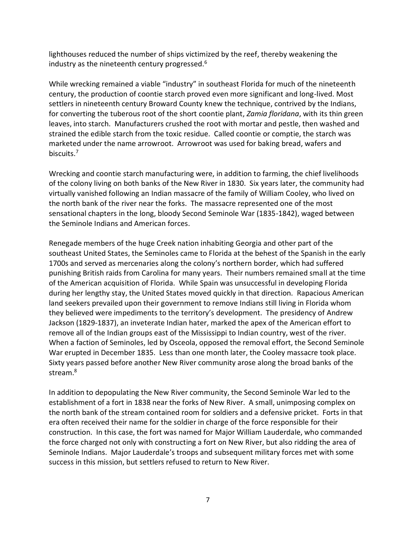lighthouses reduced the number of ships victimized by the reef, thereby weakening the industry as the nineteenth century progressed.<sup>6</sup>

While wrecking remained a viable "industry" in southeast Florida for much of the nineteenth century, the production of coontie starch proved even more significant and long-lived. Most settlers in nineteenth century Broward County knew the technique, contrived by the Indians, for converting the tuberous root of the short coontie plant, *Zamia floridana*, with its thin green leaves, into starch. Manufacturers crushed the root with mortar and pestle, then washed and strained the edible starch from the toxic residue. Called coontie or comptie, the starch was marketed under the name arrowroot. Arrowroot was used for baking bread, wafers and biscuits.<sup>7</sup>

Wrecking and coontie starch manufacturing were, in addition to farming, the chief livelihoods of the colony living on both banks of the New River in 1830. Six years later, the community had virtually vanished following an Indian massacre of the family of William Cooley, who lived on the north bank of the river near the forks. The massacre represented one of the most sensational chapters in the long, bloody Second Seminole War (1835-1842), waged between the Seminole Indians and American forces.

Renegade members of the huge Creek nation inhabiting Georgia and other part of the southeast United States, the Seminoles came to Florida at the behest of the Spanish in the early 1700s and served as mercenaries along the colony's northern border, which had suffered punishing British raids from Carolina for many years. Their numbers remained small at the time of the American acquisition of Florida. While Spain was unsuccessful in developing Florida during her lengthy stay, the United States moved quickly in that direction. Rapacious American land seekers prevailed upon their government to remove Indians still living in Florida whom they believed were impediments to the territory's development. The presidency of Andrew Jackson (1829-1837), an inveterate Indian hater, marked the apex of the American effort to remove all of the Indian groups east of the Mississippi to Indian country, west of the river. When a faction of Seminoles, led by Osceola, opposed the removal effort, the Second Seminole War erupted in December 1835. Less than one month later, the Cooley massacre took place. Sixty years passed before another New River community arose along the broad banks of the stream.<sup>8</sup>

In addition to depopulating the New River community, the Second Seminole War led to the establishment of a fort in 1838 near the forks of New River. A small, unimposing complex on the north bank of the stream contained room for soldiers and a defensive pricket. Forts in that era often received their name for the soldier in charge of the force responsible for their construction. In this case, the fort was named for Major William Lauderdale, who commanded the force charged not only with constructing a fort on New River, but also ridding the area of Seminole Indians. Major Lauderdale's troops and subsequent military forces met with some success in this mission, but settlers refused to return to New River.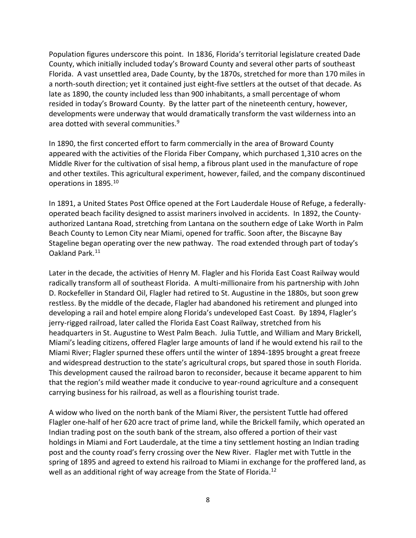Population figures underscore this point. In 1836, Florida's territorial legislature created Dade County, which initially included today's Broward County and several other parts of southeast Florida. A vast unsettled area, Dade County, by the 1870s, stretched for more than 170 miles in a north-south direction; yet it contained just eight-five settlers at the outset of that decade. As late as 1890, the county included less than 900 inhabitants, a small percentage of whom resided in today's Broward County. By the latter part of the nineteenth century, however, developments were underway that would dramatically transform the vast wilderness into an area dotted with several communities.<sup>9</sup>

In 1890, the first concerted effort to farm commercially in the area of Broward County appeared with the activities of the Florida Fiber Company, which purchased 1,310 acres on the Middle River for the cultivation of sisal hemp, a fibrous plant used in the manufacture of rope and other textiles. This agricultural experiment, however, failed, and the company discontinued operations in 1895.<sup>10</sup>

In 1891, a United States Post Office opened at the Fort Lauderdale House of Refuge, a federallyoperated beach facility designed to assist mariners involved in accidents. In 1892, the Countyauthorized Lantana Road, stretching from Lantana on the southern edge of Lake Worth in Palm Beach County to Lemon City near Miami, opened for traffic. Soon after, the Biscayne Bay Stageline began operating over the new pathway. The road extended through part of today's Oakland Park.<sup>11</sup>

Later in the decade, the activities of Henry M. Flagler and his Florida East Coast Railway would radically transform all of southeast Florida. A multi-millionaire from his partnership with John D. Rockefeller in Standard Oil, Flagler had retired to St. Augustine in the 1880s, but soon grew restless. By the middle of the decade, Flagler had abandoned his retirement and plunged into developing a rail and hotel empire along Florida's undeveloped East Coast. By 1894, Flagler's jerry-rigged railroad, later called the Florida East Coast Railway, stretched from his headquarters in St. Augustine to West Palm Beach. Julia Tuttle, and William and Mary Brickell, Miami's leading citizens, offered Flagler large amounts of land if he would extend his rail to the Miami River; Flagler spurned these offers until the winter of 1894-1895 brought a great freeze and widespread destruction to the state's agricultural crops, but spared those in south Florida. This development caused the railroad baron to reconsider, because it became apparent to him that the region's mild weather made it conducive to year-round agriculture and a consequent carrying business for his railroad, as well as a flourishing tourist trade.

A widow who lived on the north bank of the Miami River, the persistent Tuttle had offered Flagler one-half of her 620 acre tract of prime land, while the Brickell family, which operated an Indian trading post on the south bank of the stream, also offered a portion of their vast holdings in Miami and Fort Lauderdale, at the time a tiny settlement hosting an Indian trading post and the county road's ferry crossing over the New River. Flagler met with Tuttle in the spring of 1895 and agreed to extend his railroad to Miami in exchange for the proffered land, as well as an additional right of way acreage from the State of Florida.<sup>12</sup>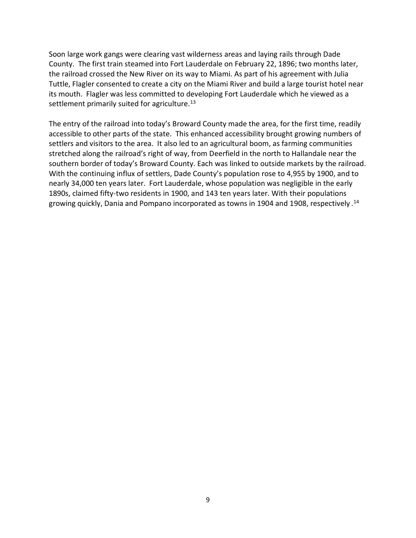Soon large work gangs were clearing vast wilderness areas and laying rails through Dade County. The first train steamed into Fort Lauderdale on February 22, 1896; two months later, the railroad crossed the New River on its way to Miami. As part of his agreement with Julia Tuttle, Flagler consented to create a city on the Miami River and build a large tourist hotel near its mouth. Flagler was less committed to developing Fort Lauderdale which he viewed as a settlement primarily suited for agriculture.<sup>13</sup>

The entry of the railroad into today's Broward County made the area, for the first time, readily accessible to other parts of the state. This enhanced accessibility brought growing numbers of settlers and visitors to the area. It also led to an agricultural boom, as farming communities stretched along the railroad's right of way, from Deerfield in the north to Hallandale near the southern border of today's Broward County. Each was linked to outside markets by the railroad. With the continuing influx of settlers, Dade County's population rose to 4,955 by 1900, and to nearly 34,000 ten years later. Fort Lauderdale, whose population was negligible in the early 1890s, claimed fifty-two residents in 1900, and 143 ten years later. With their populations growing quickly, Dania and Pompano incorporated as towns in 1904 and 1908, respectively . 14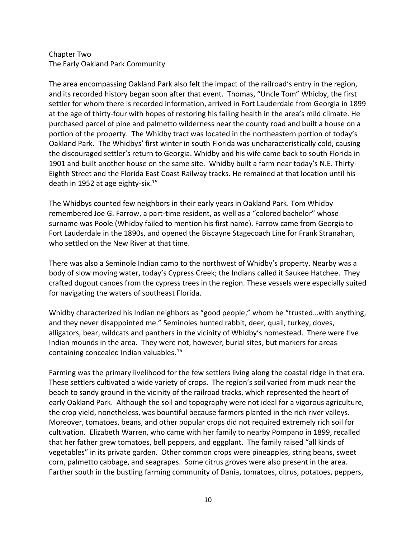## Chapter Two The Early Oakland Park Community

The area encompassing Oakland Park also felt the impact of the railroad's entry in the region, and its recorded history began soon after that event. Thomas, "Uncle Tom" Whidby, the first settler for whom there is recorded information, arrived in Fort Lauderdale from Georgia in 1899 at the age of thirty-four with hopes of restoring his failing health in the area's mild climate. He purchased parcel of pine and palmetto wilderness near the county road and built a house on a portion of the property. The Whidby tract was located in the northeastern portion of today's Oakland Park. The Whidbys' first winter in south Florida was uncharacteristically cold, causing the discouraged settler's return to Georgia. Whidby and his wife came back to south Florida in 1901 and built another house on the same site. Whidby built a farm near today's N.E. Thirty-Eighth Street and the Florida East Coast Railway tracks. He remained at that location until his death in 1952 at age eighty-six.<sup>15</sup>

The Whidbys counted few neighbors in their early years in Oakland Park. Tom Whidby remembered Joe G. Farrow, a part-time resident, as well as a "colored bachelor" whose surname was Poole (Whidby failed to mention his first name). Farrow came from Georgia to Fort Lauderdale in the 1890s, and opened the Biscayne Stagecoach Line for Frank Stranahan, who settled on the New River at that time.

There was also a Seminole Indian camp to the northwest of Whidby's property. Nearby was a body of slow moving water, today's Cypress Creek; the Indians called it Saukee Hatchee. They crafted dugout canoes from the cypress trees in the region. These vessels were especially suited for navigating the waters of southeast Florida.

Whidby characterized his Indian neighbors as "good people," whom he "trusted…with anything, and they never disappointed me." Seminoles hunted rabbit, deer, quail, turkey, doves, alligators, bear, wildcats and panthers in the vicinity of Whidby's homestead. There were five Indian mounds in the area. They were not, however, burial sites, but markers for areas containing concealed Indian valuables.<sup>16</sup>

Farming was the primary livelihood for the few settlers living along the coastal ridge in that era. These settlers cultivated a wide variety of crops. The region's soil varied from muck near the beach to sandy ground in the vicinity of the railroad tracks, which represented the heart of early Oakland Park. Although the soil and topography were not ideal for a vigorous agriculture, the crop yield, nonetheless, was bountiful because farmers planted in the rich river valleys. Moreover, tomatoes, beans, and other popular crops did not required extremely rich soil for cultivation. Elizabeth Warren, who came with her family to nearby Pompano in 1899, recalled that her father grew tomatoes, bell peppers, and eggplant. The family raised "all kinds of vegetables" in its private garden. Other common crops were pineapples, string beans, sweet corn, palmetto cabbage, and seagrapes. Some citrus groves were also present in the area. Farther south in the bustling farming community of Dania, tomatoes, citrus, potatoes, peppers,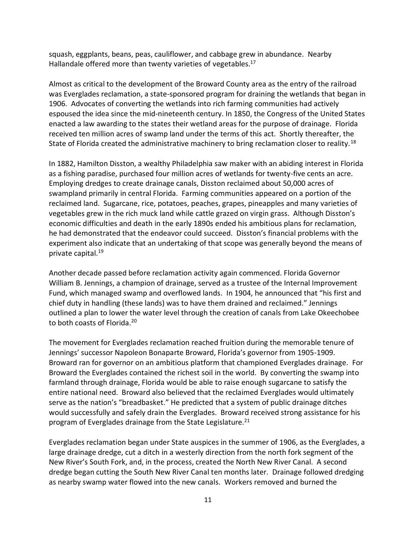squash, eggplants, beans, peas, cauliflower, and cabbage grew in abundance. Nearby Hallandale offered more than twenty varieties of vegetables.<sup>17</sup>

Almost as critical to the development of the Broward County area as the entry of the railroad was Everglades reclamation, a state-sponsored program for draining the wetlands that began in 1906. Advocates of converting the wetlands into rich farming communities had actively espoused the idea since the mid-nineteenth century. In 1850, the Congress of the United States enacted a law awarding to the states their wetland areas for the purpose of drainage. Florida received ten million acres of swamp land under the terms of this act. Shortly thereafter, the State of Florida created the administrative machinery to bring reclamation closer to reality.<sup>18</sup>

In 1882, Hamilton Disston, a wealthy Philadelphia saw maker with an abiding interest in Florida as a fishing paradise, purchased four million acres of wetlands for twenty-five cents an acre. Employing dredges to create drainage canals, Disston reclaimed about 50,000 acres of swampland primarily in central Florida. Farming communities appeared on a portion of the reclaimed land. Sugarcane, rice, potatoes, peaches, grapes, pineapples and many varieties of vegetables grew in the rich muck land while cattle grazed on virgin grass. Although Disston's economic difficulties and death in the early 1890s ended his ambitious plans for reclamation, he had demonstrated that the endeavor could succeed. Disston's financial problems with the experiment also indicate that an undertaking of that scope was generally beyond the means of private capital.<sup>19</sup>

Another decade passed before reclamation activity again commenced. Florida Governor William B. Jennings, a champion of drainage, served as a trustee of the Internal Improvement Fund, which managed swamp and overflowed lands. In 1904, he announced that "his first and chief duty in handling (these lands) was to have them drained and reclaimed." Jennings outlined a plan to lower the water level through the creation of canals from Lake Okeechobee to both coasts of Florida.<sup>20</sup>

The movement for Everglades reclamation reached fruition during the memorable tenure of Jennings' successor Napoleon Bonaparte Broward, Florida's governor from 1905-1909. Broward ran for governor on an ambitious platform that championed Everglades drainage. For Broward the Everglades contained the richest soil in the world. By converting the swamp into farmland through drainage, Florida would be able to raise enough sugarcane to satisfy the entire national need. Broward also believed that the reclaimed Everglades would ultimately serve as the nation's "breadbasket." He predicted that a system of public drainage ditches would successfully and safely drain the Everglades. Broward received strong assistance for his program of Everglades drainage from the State Legislature.<sup>21</sup>

Everglades reclamation began under State auspices in the summer of 1906, as the Everglades, a large drainage dredge, cut a ditch in a westerly direction from the north fork segment of the New River's South Fork, and, in the process, created the North New River Canal. A second dredge began cutting the South New River Canal ten months later. Drainage followed dredging as nearby swamp water flowed into the new canals. Workers removed and burned the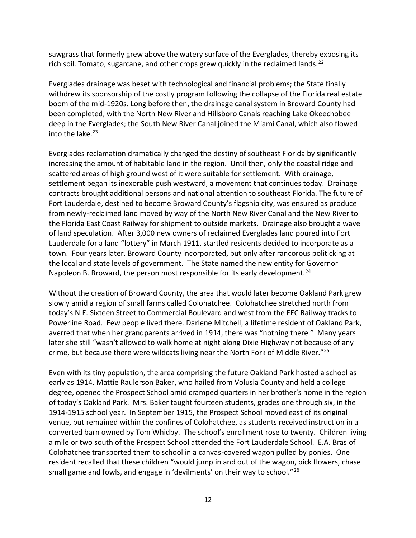sawgrass that formerly grew above the watery surface of the Everglades, thereby exposing its rich soil. Tomato, sugarcane, and other crops grew quickly in the reclaimed lands.<sup>22</sup>

Everglades drainage was beset with technological and financial problems; the State finally withdrew its sponsorship of the costly program following the collapse of the Florida real estate boom of the mid-1920s. Long before then, the drainage canal system in Broward County had been completed, with the North New River and Hillsboro Canals reaching Lake Okeechobee deep in the Everglades; the South New River Canal joined the Miami Canal, which also flowed into the lake. $23$ 

Everglades reclamation dramatically changed the destiny of southeast Florida by significantly increasing the amount of habitable land in the region. Until then, only the coastal ridge and scattered areas of high ground west of it were suitable for settlement. With drainage, settlement began its inexorable push westward, a movement that continues today. Drainage contracts brought additional persons and national attention to southeast Florida. The future of Fort Lauderdale, destined to become Broward County's flagship city, was ensured as produce from newly-reclaimed land moved by way of the North New River Canal and the New River to the Florida East Coast Railway for shipment to outside markets. Drainage also brought a wave of land speculation. After 3,000 new owners of reclaimed Everglades land poured into Fort Lauderdale for a land "lottery" in March 1911, startled residents decided to incorporate as a town. Four years later, Broward County incorporated, but only after rancorous politicking at the local and state levels of government. The State named the new entity for Governor Napoleon B. Broward, the person most responsible for its early development.<sup>24</sup>

Without the creation of Broward County, the area that would later become Oakland Park grew slowly amid a region of small farms called Colohatchee. Colohatchee stretched north from today's N.E. Sixteen Street to Commercial Boulevard and west from the FEC Railway tracks to Powerline Road. Few people lived there. Darlene Mitchell, a lifetime resident of Oakland Park, averred that when her grandparents arrived in 1914, there was "nothing there." Many years later she still "wasn't allowed to walk home at night along Dixie Highway not because of any crime, but because there were wildcats living near the North Fork of Middle River."<sup>25</sup>

Even with its tiny population, the area comprising the future Oakland Park hosted a school as early as 1914. Mattie Raulerson Baker, who hailed from Volusia County and held a college degree, opened the Prospect School amid cramped quarters in her brother's home in the region of today's Oakland Park. Mrs. Baker taught fourteen students, grades one through six, in the 1914-1915 school year. In September 1915, the Prospect School moved east of its original venue, but remained within the confines of Colohatchee, as students received instruction in a converted barn owned by Tom Whidby. The school's enrollment rose to twenty. Children living a mile or two south of the Prospect School attended the Fort Lauderdale School. E.A. Bras of Colohatchee transported them to school in a canvas-covered wagon pulled by ponies. One resident recalled that these children "would jump in and out of the wagon, pick flowers, chase small game and fowls, and engage in 'devilments' on their way to school."<sup>26</sup>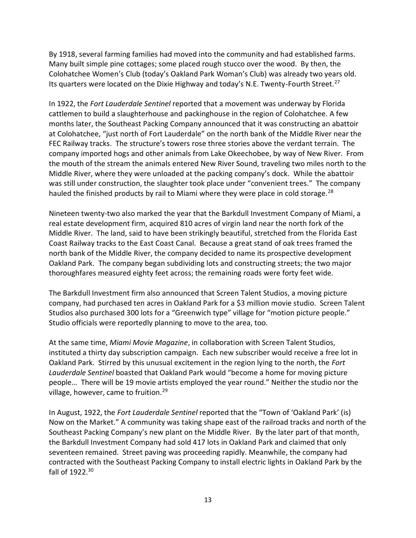By 1918, several farming families had moved into the community and had established farms. Many built simple pine cottages; some placed rough stucco over the wood. By then, the Colohatchee Women's Club (today's Oakland Park Woman's Club) was already two years old. Its quarters were located on the Dixie Highway and today's N.E. Twenty-Fourth Street.<sup>27</sup>

In 1922, the *Fort Lauderdale Sentinel* reported that a movement was underway by Florida cattlemen to build a slaughterhouse and packinghouse in the region of Colohatchee. A few months later, the Southeast Packing Company announced that it was constructing an abattoir at Colohatchee, "just north of Fort Lauderdale" on the north bank of the Middle River near the FEC Railway tracks. The structure's towers rose three stories above the verdant terrain. The company imported hogs and other animals from Lake Okeechobee, by way of New River. From the mouth of the stream the animals entered New River Sound, traveling two miles north to the Middle River, where they were unloaded at the packing company's dock. While the abattoir was still under construction, the slaughter took place under "convenient trees." The company hauled the finished products by rail to Miami where they were place in cold storage.<sup>28</sup>

Nineteen twenty-two also marked the year that the Barkdull Investment Company of Miami, a real estate development firm, acquired 810 acres of virgin land near the north fork of the Middle River. The land, said to have been strikingly beautiful, stretched from the Florida East Coast Railway tracks to the East Coast Canal. Because a great stand of oak trees framed the north bank of the Middle River, the company decided to name its prospective development Oakland Park. The company began subdividing lots and constructing streets; the two major thoroughfares measured eighty feet across; the remaining roads were forty feet wide.

The Barkdull Investment firm also announced that Screen Talent Studios, a moving picture company, had purchased ten acres in Oakland Park for a \$3 million movie studio. Screen Talent Studios also purchased 300 lots for a "Greenwich type" village for "motion picture people." Studio officials were reportedly planning to move to the area, too.

At the same time, *Miami Movie Magazine*, in collaboration with Screen Talent Studios, instituted a thirty day subscription campaign. Each new subscriber would receive a free lot in Oakland Park. Stirred by this unusual excitement in the region lying to the north, the *Fort Lauderdale Sentinel* boasted that Oakland Park would "become a home for moving picture people… There will be 19 movie artists employed the year round." Neither the studio nor the village, however, came to fruition.<sup>29</sup>

In August, 1922, the *Fort Lauderdale Sentinel* reported that the "Town of 'Oakland Park' (is) Now on the Market." A community was taking shape east of the railroad tracks and north of the Southeast Packing Company's new plant on the Middle River. By the later part of that month, the Barkdull Investment Company had sold 417 lots in Oakland Park and claimed that only seventeen remained. Street paving was proceeding rapidly. Meanwhile, the company had contracted with the Southeast Packing Company to install electric lights in Oakland Park by the fall of  $1922.^{30}$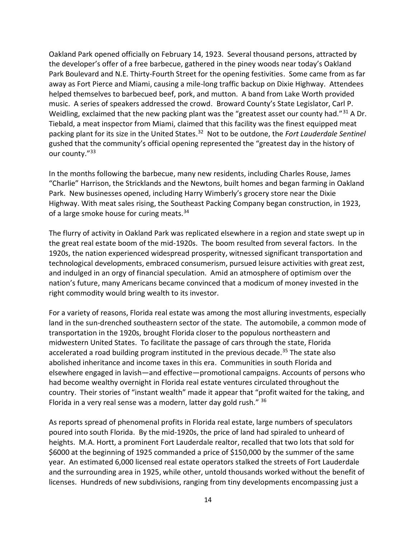Oakland Park opened officially on February 14, 1923. Several thousand persons, attracted by the developer's offer of a free barbecue, gathered in the piney woods near today's Oakland Park Boulevard and N.E. Thirty-Fourth Street for the opening festivities. Some came from as far away as Fort Pierce and Miami, causing a mile-long traffic backup on Dixie Highway. Attendees helped themselves to barbecued beef, pork, and mutton. A band from Lake Worth provided music. A series of speakers addressed the crowd. Broward County's State Legislator, Carl P. Weidling, exclaimed that the new packing plant was the "greatest asset our county had."<sup>31</sup> A Dr. Tiebald, a meat inspector from Miami, claimed that this facility was the finest equipped meat packing plant for its size in the United States.<sup>32</sup> Not to be outdone, the *Fort Lauderdale Sentinel* gushed that the community's official opening represented the "greatest day in the history of our county."<sup>33</sup>

In the months following the barbecue, many new residents, including Charles Rouse, James "Charlie" Harrison, the Stricklands and the Newtons, built homes and began farming in Oakland Park. New businesses opened, including Harry Wimberly's grocery store near the Dixie Highway. With meat sales rising, the Southeast Packing Company began construction, in 1923, of a large smoke house for curing meats.<sup>34</sup>

The flurry of activity in Oakland Park was replicated elsewhere in a region and state swept up in the great real estate boom of the mid-1920s. The boom resulted from several factors. In the 1920s, the nation experienced widespread prosperity, witnessed significant transportation and technological developments, embraced consumerism, pursued leisure activities with great zest, and indulged in an orgy of financial speculation. Amid an atmosphere of optimism over the nation's future, many Americans became convinced that a modicum of money invested in the right commodity would bring wealth to its investor.

For a variety of reasons, Florida real estate was among the most alluring investments, especially land in the sun-drenched southeastern sector of the state. The automobile, a common mode of transportation in the 1920s, brought Florida closer to the populous northeastern and midwestern United States. To facilitate the passage of cars through the state, Florida accelerated a road building program instituted in the previous decade.<sup>35</sup> The state also abolished inheritance and income taxes in this era. Communities in south Florida and elsewhere engaged in lavish—and effective—promotional campaigns. Accounts of persons who had become wealthy overnight in Florida real estate ventures circulated throughout the country. Their stories of "instant wealth" made it appear that "profit waited for the taking, and Florida in a very real sense was a modern, latter day gold rush." <sup>36</sup>

As reports spread of phenomenal profits in Florida real estate, large numbers of speculators poured into south Florida. By the mid-1920s, the price of land had spiraled to unheard of heights. M.A. Hortt, a prominent Fort Lauderdale realtor, recalled that two lots that sold for \$6000 at the beginning of 1925 commanded a price of \$150,000 by the summer of the same year. An estimated 6,000 licensed real estate operators stalked the streets of Fort Lauderdale and the surrounding area in 1925, while other, untold thousands worked without the benefit of licenses. Hundreds of new subdivisions, ranging from tiny developments encompassing just a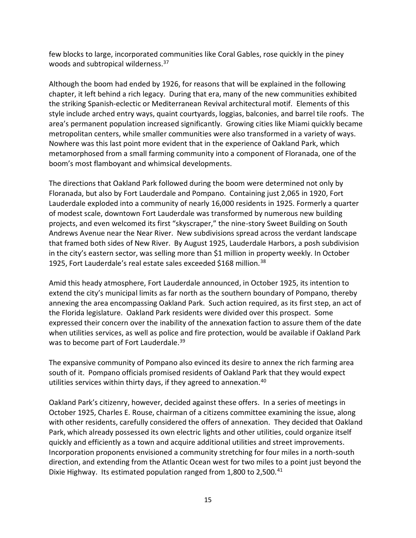few blocks to large, incorporated communities like Coral Gables, rose quickly in the piney woods and subtropical wilderness.<sup>37</sup>

Although the boom had ended by 1926, for reasons that will be explained in the following chapter, it left behind a rich legacy. During that era, many of the new communities exhibited the striking Spanish-eclectic or Mediterranean Revival architectural motif. Elements of this style include arched entry ways, quaint courtyards, loggias, balconies, and barrel tile roofs. The area's permanent population increased significantly. Growing cities like Miami quickly became metropolitan centers, while smaller communities were also transformed in a variety of ways. Nowhere was this last point more evident that in the experience of Oakland Park, which metamorphosed from a small farming community into a component of Floranada, one of the boom's most flamboyant and whimsical developments.

The directions that Oakland Park followed during the boom were determined not only by Floranada, but also by Fort Lauderdale and Pompano. Containing just 2,065 in 1920, Fort Lauderdale exploded into a community of nearly 16,000 residents in 1925. Formerly a quarter of modest scale, downtown Fort Lauderdale was transformed by numerous new building projects, and even welcomed its first "skyscraper," the nine-story Sweet Building on South Andrews Avenue near the Near River. New subdivisions spread across the verdant landscape that framed both sides of New River. By August 1925, Lauderdale Harbors, a posh subdivision in the city's eastern sector, was selling more than \$1 million in property weekly. In October 1925, Fort Lauderdale's real estate sales exceeded \$168 million.<sup>38</sup>

Amid this heady atmosphere, Fort Lauderdale announced, in October 1925, its intention to extend the city's municipal limits as far north as the southern boundary of Pompano, thereby annexing the area encompassing Oakland Park. Such action required, as its first step, an act of the Florida legislature. Oakland Park residents were divided over this prospect. Some expressed their concern over the inability of the annexation faction to assure them of the date when utilities services, as well as police and fire protection, would be available if Oakland Park was to become part of Fort Lauderdale.<sup>39</sup>

The expansive community of Pompano also evinced its desire to annex the rich farming area south of it. Pompano officials promised residents of Oakland Park that they would expect utilities services within thirty days, if they agreed to annexation.<sup>40</sup>

Oakland Park's citizenry, however, decided against these offers. In a series of meetings in October 1925, Charles E. Rouse, chairman of a citizens committee examining the issue, along with other residents, carefully considered the offers of annexation. They decided that Oakland Park, which already possessed its own electric lights and other utilities, could organize itself quickly and efficiently as a town and acquire additional utilities and street improvements. Incorporation proponents envisioned a community stretching for four miles in a north-south direction, and extending from the Atlantic Ocean west for two miles to a point just beyond the Dixie Highway. Its estimated population ranged from 1,800 to 2,500.<sup>41</sup>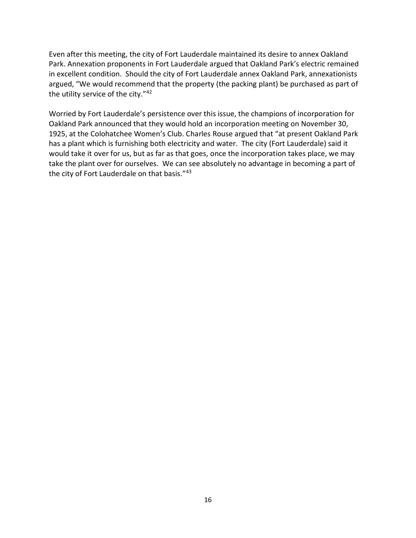Even after this meeting, the city of Fort Lauderdale maintained its desire to annex Oakland Park. Annexation proponents in Fort Lauderdale argued that Oakland Park's electric remained in excellent condition. Should the city of Fort Lauderdale annex Oakland Park, annexationists argued, "We would recommend that the property (the packing plant) be purchased as part of the utility service of the city."<sup>42</sup>

Worried by Fort Lauderdale's persistence over this issue, the champions of incorporation for Oakland Park announced that they would hold an incorporation meeting on November 30, 1925, at the Colohatchee Women's Club. Charles Rouse argued that "at present Oakland Park has a plant which is furnishing both electricity and water. The city (Fort Lauderdale) said it would take it over for us, but as far as that goes, once the incorporation takes place, we may take the plant over for ourselves. We can see absolutely no advantage in becoming a part of the city of Fort Lauderdale on that basis."43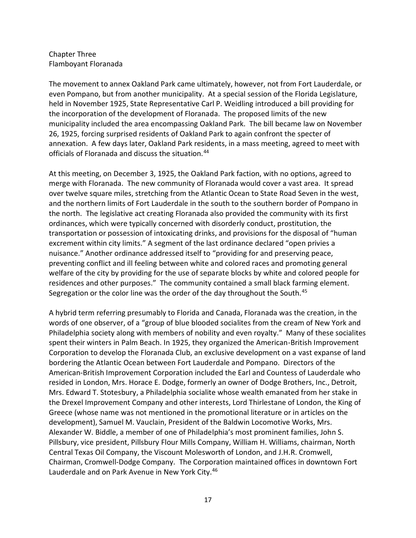## Chapter Three Flamboyant Floranada

The movement to annex Oakland Park came ultimately, however, not from Fort Lauderdale, or even Pompano, but from another municipality. At a special session of the Florida Legislature, held in November 1925, State Representative Carl P. Weidling introduced a bill providing for the incorporation of the development of Floranada. The proposed limits of the new municipality included the area encompassing Oakland Park. The bill became law on November 26, 1925, forcing surprised residents of Oakland Park to again confront the specter of annexation. A few days later, Oakland Park residents, in a mass meeting, agreed to meet with officials of Floranada and discuss the situation.<sup>44</sup>

At this meeting, on December 3, 1925, the Oakland Park faction, with no options, agreed to merge with Floranada. The new community of Floranada would cover a vast area. It spread over twelve square miles, stretching from the Atlantic Ocean to State Road Seven in the west, and the northern limits of Fort Lauderdale in the south to the southern border of Pompano in the north. The legislative act creating Floranada also provided the community with its first ordinances, which were typically concerned with disorderly conduct, prostitution, the transportation or possession of intoxicating drinks, and provisions for the disposal of "human excrement within city limits." A segment of the last ordinance declared "open privies a nuisance." Another ordinance addressed itself to "providing for and preserving peace, preventing conflict and ill feeling between white and colored races and promoting general welfare of the city by providing for the use of separate blocks by white and colored people for residences and other purposes." The community contained a small black farming element. Segregation or the color line was the order of the day throughout the South.<sup>45</sup>

A hybrid term referring presumably to Florida and Canada, Floranada was the creation, in the words of one observer, of a "group of blue blooded socialites from the cream of New York and Philadelphia society along with members of nobility and even royalty." Many of these socialites spent their winters in Palm Beach. In 1925, they organized the American-British Improvement Corporation to develop the Floranada Club, an exclusive development on a vast expanse of land bordering the Atlantic Ocean between Fort Lauderdale and Pompano. Directors of the American-British Improvement Corporation included the Earl and Countess of Lauderdale who resided in London, Mrs. Horace E. Dodge, formerly an owner of Dodge Brothers, Inc., Detroit, Mrs. Edward T. Stotesbury, a Philadelphia socialite whose wealth emanated from her stake in the Drexel Improvement Company and other interests, Lord Thirlestane of London, the King of Greece (whose name was not mentioned in the promotional literature or in articles on the development), Samuel M. Vauclain, President of the Baldwin Locomotive Works, Mrs. Alexander W. Biddle, a member of one of Philadelphia's most prominent families, John S. Pillsbury, vice president, Pillsbury Flour Mills Company, William H. Williams, chairman, North Central Texas Oil Company, the Viscount Molesworth of London, and J.H.R. Cromwell, Chairman, Cromwell-Dodge Company. The Corporation maintained offices in downtown Fort Lauderdale and on Park Avenue in New York City.<sup>46</sup>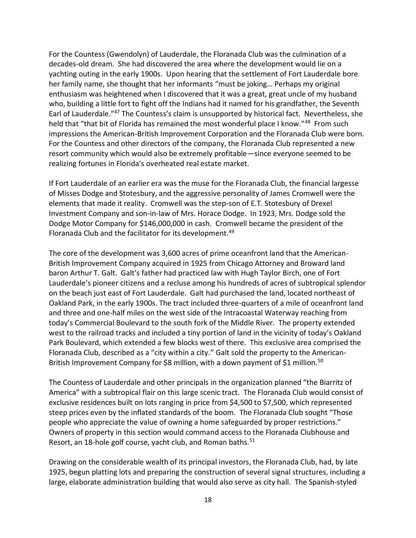For the Countess (Gwendolyn) of Lauderdale, the Floranada Club was the culmination of a decades-old dream. She had discovered the area where the development would lie on a yachting outing in the early 1900s. Upon hearing that the settlement of Fort Lauderdale bore her family name, she thought that her informants "must be joking… Perhaps my original enthusiasm was heightened when I discovered that it was a great, great uncle of my husband who, building a little fort to fight off the Indians had it named for his grandfather, the Seventh Earl of Lauderdale."<sup>47</sup> The Countess's claim is unsupported by historical fact. Nevertheless, she held that "that bit of Florida has remained the most wonderful place I know."<sup>48</sup> From such impressions the American-British Improvement Corporation and the Floranada Club were born. For the Countess and other directors of the company, the Floranada Club represented a new resort community which would also be extremely profitable—since everyone seemed to be realizing fortunes in Florida's overheated real estate market.

If Fort Lauderdale of an earlier era was the muse for the Floranada Club, the financial largesse of Misses Dodge and Stotesbury, and the aggressive personality of James Cromwell were the elements that made it reality. Cromwell was the step-son of E.T. Stotesbury of Drexel Investment Company and son-in-law of Mrs. Horace Dodge. In 1923, Mrs. Dodge sold the Dodge Motor Company for \$146,000,000 in cash. Cromwell became the president of the Floranada Club and the facilitator for its development.<sup>49</sup>

The core of the development was 3,600 acres of prime oceanfront land that the American-British Improvement Company acquired in 1925 from Chicago Attorney and Broward land baron Arthur T. Galt. Galt's father had practiced law with Hugh Taylor Birch, one of Fort Lauderdale's pioneer citizens and a recluse among his hundreds of acres of subtropical splendor on the beach just east of Fort Lauderdale. Galt had purchased the land, located northeast of Oakland Park, in the early 1900s. The tract included three-quarters of a mile of oceanfront land and three and one-half miles on the west side of the Intracoastal Waterway reaching from today's Commercial Boulevard to the south fork of the Middle River. The property extended west to the railroad tracks and included a tiny portion of land in the vicinity of today's Oakland Park Boulevard, which extended a few blocks west of there. This exclusive area comprised the Floranada Club, described as a "city within a city." Galt sold the property to the American-British Improvement Company for \$8 million, with a down payment of \$1 million.<sup>50</sup>

The Countess of Lauderdale and other principals in the organization planned "the Biarritz of America" with a subtropical flair on this large scenic tract. The Floranada Club would consist of exclusive residences built on lots ranging in price from \$4,500 to \$7,500, which represented steep prices even by the inflated standards of the boom. The Floranada Club sought "Those people who appreciate the value of owning a home safeguarded by proper restrictions." Owners of property in this section would command access to the Floranada Clubhouse and Resort, an 18-hole golf course, yacht club, and Roman baths.<sup>51</sup>

Drawing on the considerable wealth of its principal investors, the Floranada Club, had, by late 1925, begun platting lots and preparing the construction of several signal structures, including a large, elaborate administration building that would also serve as city hall. The Spanish-styled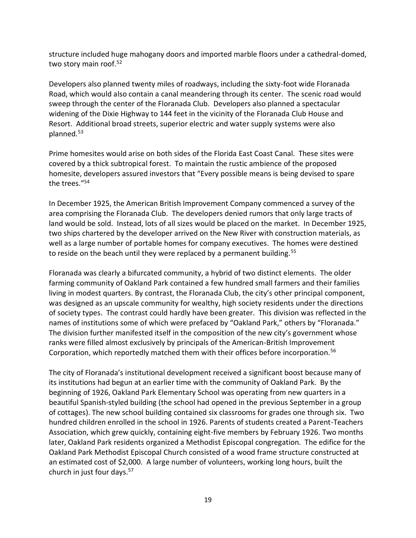structure included huge mahogany doors and imported marble floors under a cathedral-domed, two story main roof.<sup>52</sup>

Developers also planned twenty miles of roadways, including the sixty-foot wide Floranada Road, which would also contain a canal meandering through its center. The scenic road would sweep through the center of the Floranada Club. Developers also planned a spectacular widening of the Dixie Highway to 144 feet in the vicinity of the Floranada Club House and Resort. Additional broad streets, superior electric and water supply systems were also planned.<sup>53</sup>

Prime homesites would arise on both sides of the Florida East Coast Canal. These sites were covered by a thick subtropical forest. To maintain the rustic ambience of the proposed homesite, developers assured investors that "Every possible means is being devised to spare the trees."<sup>54</sup>

In December 1925, the American British Improvement Company commenced a survey of the area comprising the Floranada Club. The developers denied rumors that only large tracts of land would be sold. Instead, lots of all sizes would be placed on the market. In December 1925, two ships chartered by the developer arrived on the New River with construction materials, as well as a large number of portable homes for company executives. The homes were destined to reside on the beach until they were replaced by a permanent building.<sup>55</sup>

Floranada was clearly a bifurcated community, a hybrid of two distinct elements. The older farming community of Oakland Park contained a few hundred small farmers and their families living in modest quarters. By contrast, the Floranada Club, the city's other principal component, was designed as an upscale community for wealthy, high society residents under the directions of society types. The contrast could hardly have been greater. This division was reflected in the names of institutions some of which were prefaced by "Oakland Park," others by "Floranada." The division further manifested itself in the composition of the new city's government whose ranks were filled almost exclusively by principals of the American-British Improvement Corporation, which reportedly matched them with their offices before incorporation.<sup>56</sup>

The city of Floranada's institutional development received a significant boost because many of its institutions had begun at an earlier time with the community of Oakland Park. By the beginning of 1926, Oakland Park Elementary School was operating from new quarters in a beautiful Spanish-styled building (the school had opened in the previous September in a group of cottages). The new school building contained six classrooms for grades one through six. Two hundred children enrolled in the school in 1926. Parents of students created a Parent-Teachers Association, which grew quickly, containing eight-five members by February 1926. Two months later, Oakland Park residents organized a Methodist Episcopal congregation. The edifice for the Oakland Park Methodist Episcopal Church consisted of a wood frame structure constructed at an estimated cost of \$2,000. A large number of volunteers, working long hours, built the church in just four days.57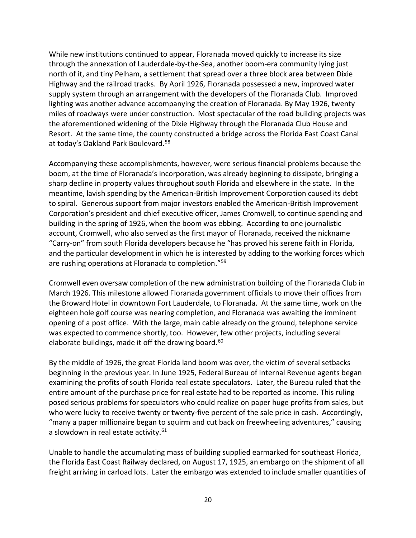While new institutions continued to appear, Floranada moved quickly to increase its size through the annexation of Lauderdale-by-the-Sea, another boom-era community lying just north of it, and tiny Pelham, a settlement that spread over a three block area between Dixie Highway and the railroad tracks. By April 1926, Floranada possessed a new, improved water supply system through an arrangement with the developers of the Floranada Club. Improved lighting was another advance accompanying the creation of Floranada. By May 1926, twenty miles of roadways were under construction. Most spectacular of the road building projects was the aforementioned widening of the Dixie Highway through the Floranada Club House and Resort. At the same time, the county constructed a bridge across the Florida East Coast Canal at today's Oakland Park Boulevard.<sup>58</sup>

Accompanying these accomplishments, however, were serious financial problems because the boom, at the time of Floranada's incorporation, was already beginning to dissipate, bringing a sharp decline in property values throughout south Florida and elsewhere in the state. In the meantime, lavish spending by the American-British Improvement Corporation caused its debt to spiral. Generous support from major investors enabled the American-British Improvement Corporation's president and chief executive officer, James Cromwell, to continue spending and building in the spring of 1926, when the boom was ebbing. According to one journalistic account, Cromwell, who also served as the first mayor of Floranada, received the nickname "Carry-on" from south Florida developers because he "has proved his serene faith in Florida, and the particular development in which he is interested by adding to the working forces which are rushing operations at Floranada to completion."<sup>59</sup>

Cromwell even oversaw completion of the new administration building of the Floranada Club in March 1926. This milestone allowed Floranada government officials to move their offices from the Broward Hotel in downtown Fort Lauderdale, to Floranada. At the same time, work on the eighteen hole golf course was nearing completion, and Floranada was awaiting the imminent opening of a post office. With the large, main cable already on the ground, telephone service was expected to commence shortly, too. However, few other projects, including several elaborate buildings, made it off the drawing board.<sup>60</sup>

By the middle of 1926, the great Florida land boom was over, the victim of several setbacks beginning in the previous year. In June 1925, Federal Bureau of Internal Revenue agents began examining the profits of south Florida real estate speculators. Later, the Bureau ruled that the entire amount of the purchase price for real estate had to be reported as income. This ruling posed serious problems for speculators who could realize on paper huge profits from sales, but who were lucky to receive twenty or twenty-five percent of the sale price in cash. Accordingly, "many a paper millionaire began to squirm and cut back on freewheeling adventures," causing a slowdown in real estate activity.<sup>61</sup>

Unable to handle the accumulating mass of building supplied earmarked for southeast Florida, the Florida East Coast Railway declared, on August 17, 1925, an embargo on the shipment of all freight arriving in carload lots. Later the embargo was extended to include smaller quantities of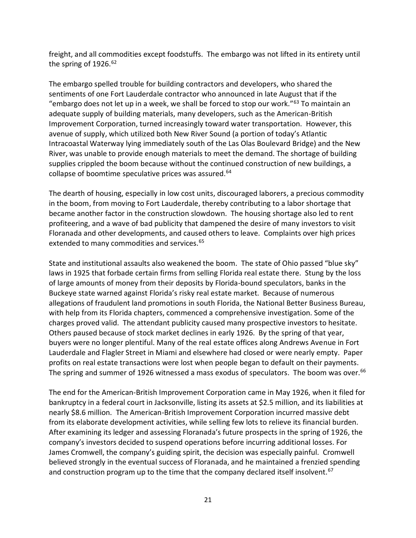freight, and all commodities except foodstuffs. The embargo was not lifted in its entirety until the spring of 1926.<sup>62</sup>

The embargo spelled trouble for building contractors and developers, who shared the sentiments of one Fort Lauderdale contractor who announced in late August that if the "embargo does not let up in a week, we shall be forced to stop our work."<sup>63</sup> To maintain an adequate supply of building materials, many developers, such as the American-British Improvement Corporation, turned increasingly toward water transportation. However, this avenue of supply, which utilized both New River Sound (a portion of today's Atlantic Intracoastal Waterway lying immediately south of the Las Olas Boulevard Bridge) and the New River, was unable to provide enough materials to meet the demand. The shortage of building supplies crippled the boom because without the continued construction of new buildings, a collapse of boomtime speculative prices was assured.<sup>64</sup>

The dearth of housing, especially in low cost units, discouraged laborers, a precious commodity in the boom, from moving to Fort Lauderdale, thereby contributing to a labor shortage that became another factor in the construction slowdown. The housing shortage also led to rent profiteering, and a wave of bad publicity that dampened the desire of many investors to visit Floranada and other developments, and caused others to leave. Complaints over high prices extended to many commodities and services.<sup>65</sup>

State and institutional assaults also weakened the boom. The state of Ohio passed "blue sky" laws in 1925 that forbade certain firms from selling Florida real estate there. Stung by the loss of large amounts of money from their deposits by Florida-bound speculators, banks in the Buckeye state warned against Florida's risky real estate market. Because of numerous allegations of fraudulent land promotions in south Florida, the National Better Business Bureau, with help from its Florida chapters, commenced a comprehensive investigation. Some of the charges proved valid. The attendant publicity caused many prospective investors to hesitate. Others paused because of stock market declines in early 1926. By the spring of that year, buyers were no longer plentiful. Many of the real estate offices along Andrews Avenue in Fort Lauderdale and Flagler Street in Miami and elsewhere had closed or were nearly empty. Paper profits on real estate transactions were lost when people began to default on their payments. The spring and summer of 1926 witnessed a mass exodus of speculators. The boom was over.<sup>66</sup>

The end for the American-British Improvement Corporation came in May 1926, when it filed for bankruptcy in a federal court in Jacksonville, listing its assets at \$2.5 million, and its liabilities at nearly \$8.6 million. The American-British Improvement Corporation incurred massive debt from its elaborate development activities, while selling few lots to relieve its financial burden. After examining its ledger and assessing Floranada's future prospects in the spring of 1926, the company's investors decided to suspend operations before incurring additional losses. For James Cromwell, the company's guiding spirit, the decision was especially painful. Cromwell believed strongly in the eventual success of Floranada, and he maintained a frenzied spending and construction program up to the time that the company declared itself insolvent.<sup>67</sup>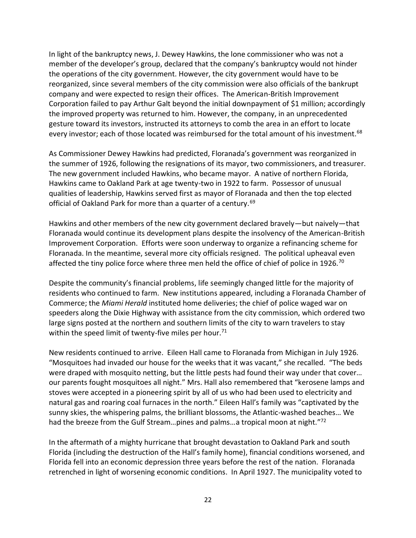In light of the bankruptcy news, J. Dewey Hawkins, the lone commissioner who was not a member of the developer's group, declared that the company's bankruptcy would not hinder the operations of the city government. However, the city government would have to be reorganized, since several members of the city commission were also officials of the bankrupt company and were expected to resign their offices. The American-British Improvement Corporation failed to pay Arthur Galt beyond the initial downpayment of \$1 million; accordingly the improved property was returned to him. However, the company, in an unprecedented gesture toward its investors, instructed its attorneys to comb the area in an effort to locate every investor; each of those located was reimbursed for the total amount of his investment.<sup>68</sup>

As Commissioner Dewey Hawkins had predicted, Floranada's government was reorganized in the summer of 1926, following the resignations of its mayor, two commissioners, and treasurer. The new government included Hawkins, who became mayor. A native of northern Florida, Hawkins came to Oakland Park at age twenty-two in 1922 to farm. Possessor of unusual qualities of leadership, Hawkins served first as mayor of Floranada and then the top elected official of Oakland Park for more than a quarter of a century.<sup>69</sup>

Hawkins and other members of the new city government declared bravely—but naively—that Floranada would continue its development plans despite the insolvency of the American-British Improvement Corporation. Efforts were soon underway to organize a refinancing scheme for Floranada. In the meantime, several more city officials resigned. The political upheaval even affected the tiny police force where three men held the office of chief of police in 1926.<sup>70</sup>

Despite the community's financial problems, life seemingly changed little for the majority of residents who continued to farm. New institutions appeared, including a Floranada Chamber of Commerce; the *Miami Herald* instituted home deliveries; the chief of police waged war on speeders along the Dixie Highway with assistance from the city commission, which ordered two large signs posted at the northern and southern limits of the city to warn travelers to stay within the speed limit of twenty-five miles per hour.<sup>71</sup>

New residents continued to arrive. Eileen Hall came to Floranada from Michigan in July 1926. "Mosquitoes had invaded our house for the weeks that it was vacant," she recalled. "The beds were draped with mosquito netting, but the little pests had found their way under that cover… our parents fought mosquitoes all night." Mrs. Hall also remembered that "kerosene lamps and stoves were accepted in a pioneering spirit by all of us who had been used to electricity and natural gas and roaring coal furnaces in the north." Eileen Hall's family was "captivated by the sunny skies, the whispering palms, the brilliant blossoms, the Atlantic-washed beaches… We had the breeze from the Gulf Stream...pines and palms...a tropical moon at night."<sup>72</sup>

In the aftermath of a mighty hurricane that brought devastation to Oakland Park and south Florida (including the destruction of the Hall's family home), financial conditions worsened, and Florida fell into an economic depression three years before the rest of the nation. Floranada retrenched in light of worsening economic conditions. In April 1927. The municipality voted to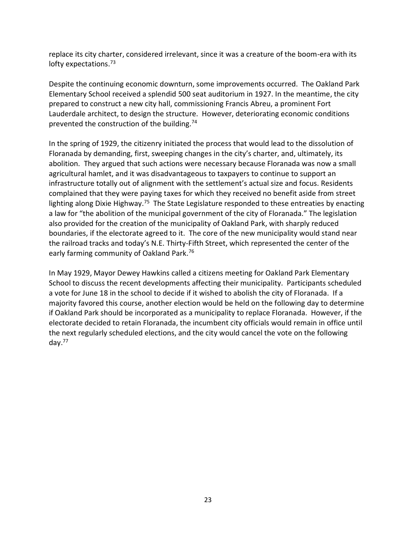replace its city charter, considered irrelevant, since it was a creature of the boom-era with its lofty expectations.<sup>73</sup>

Despite the continuing economic downturn, some improvements occurred. The Oakland Park Elementary School received a splendid 500 seat auditorium in 1927. In the meantime, the city prepared to construct a new city hall, commissioning Francis Abreu, a prominent Fort Lauderdale architect, to design the structure. However, deteriorating economic conditions prevented the construction of the building.<sup>74</sup>

In the spring of 1929, the citizenry initiated the process that would lead to the dissolution of Floranada by demanding, first, sweeping changes in the city's charter, and, ultimately, its abolition. They argued that such actions were necessary because Floranada was now a small agricultural hamlet, and it was disadvantageous to taxpayers to continue to support an infrastructure totally out of alignment with the settlement's actual size and focus. Residents complained that they were paying taxes for which they received no benefit aside from street lighting along Dixie Highway.<sup>75</sup> The State Legislature responded to these entreaties by enacting a law for "the abolition of the municipal government of the city of Floranada." The legislation also provided for the creation of the municipality of Oakland Park, with sharply reduced boundaries, if the electorate agreed to it. The core of the new municipality would stand near the railroad tracks and today's N.E. Thirty-Fifth Street, which represented the center of the early farming community of Oakland Park.<sup>76</sup>

In May 1929, Mayor Dewey Hawkins called a citizens meeting for Oakland Park Elementary School to discuss the recent developments affecting their municipality. Participants scheduled a vote for June 18 in the school to decide if it wished to abolish the city of Floranada. If a majority favored this course, another election would be held on the following day to determine if Oakland Park should be incorporated as a municipality to replace Floranada. However, if the electorate decided to retain Floranada, the incumbent city officials would remain in office until the next regularly scheduled elections, and the city would cancel the vote on the following day.77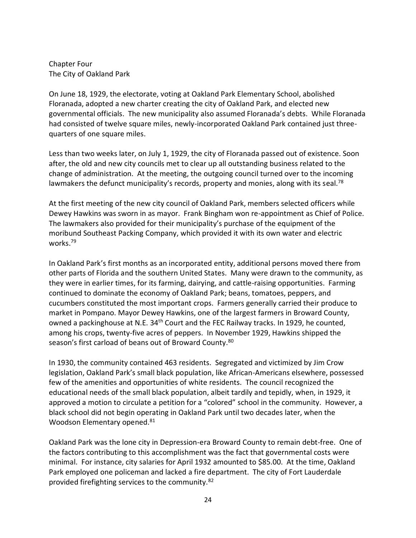Chapter Four The City of Oakland Park

On June 18, 1929, the electorate, voting at Oakland Park Elementary School, abolished Floranada, adopted a new charter creating the city of Oakland Park, and elected new governmental officials. The new municipality also assumed Floranada's debts. While Floranada had consisted of twelve square miles, newly-incorporated Oakland Park contained just threequarters of one square miles.

Less than two weeks later, on July 1, 1929, the city of Floranada passed out of existence. Soon after, the old and new city councils met to clear up all outstanding business related to the change of administration. At the meeting, the outgoing council turned over to the incoming lawmakers the defunct municipality's records, property and monies, along with its seal.<sup>78</sup>

At the first meeting of the new city council of Oakland Park, members selected officers while Dewey Hawkins was sworn in as mayor. Frank Bingham won re-appointment as Chief of Police. The lawmakers also provided for their municipality's purchase of the equipment of the moribund Southeast Packing Company, which provided it with its own water and electric works.<sup>79</sup>

In Oakland Park's first months as an incorporated entity, additional persons moved there from other parts of Florida and the southern United States. Many were drawn to the community, as they were in earlier times, for its farming, dairying, and cattle-raising opportunities. Farming continued to dominate the economy of Oakland Park; beans, tomatoes, peppers, and cucumbers constituted the most important crops. Farmers generally carried their produce to market in Pompano. Mayor Dewey Hawkins, one of the largest farmers in Broward County, owned a packinghouse at N.E. 34<sup>th</sup> Court and the FEC Railway tracks. In 1929, he counted, among his crops, twenty-five acres of peppers. In November 1929, Hawkins shipped the season's first carload of beans out of Broward County.<sup>80</sup>

In 1930, the community contained 463 residents. Segregated and victimized by Jim Crow legislation, Oakland Park's small black population, like African-Americans elsewhere, possessed few of the amenities and opportunities of white residents. The council recognized the educational needs of the small black population, albeit tardily and tepidly, when, in 1929, it approved a motion to circulate a petition for a "colored" school in the community. However, a black school did not begin operating in Oakland Park until two decades later, when the Woodson Elementary opened.<sup>81</sup>

Oakland Park was the lone city in Depression-era Broward County to remain debt-free. One of the factors contributing to this accomplishment was the fact that governmental costs were minimal. For instance, city salaries for April 1932 amounted to \$85.00. At the time, Oakland Park employed one policeman and lacked a fire department. The city of Fort Lauderdale provided firefighting services to the community.<sup>82</sup>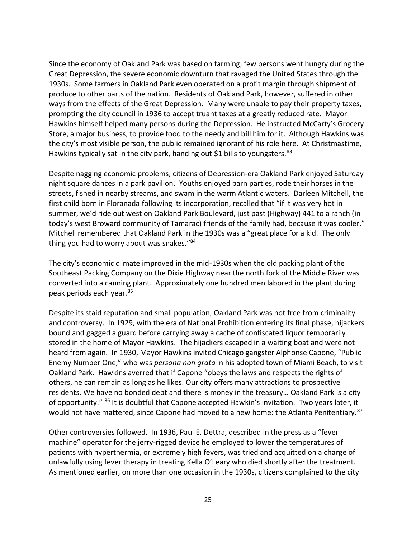Since the economy of Oakland Park was based on farming, few persons went hungry during the Great Depression, the severe economic downturn that ravaged the United States through the 1930s. Some farmers in Oakland Park even operated on a profit margin through shipment of produce to other parts of the nation. Residents of Oakland Park, however, suffered in other ways from the effects of the Great Depression. Many were unable to pay their property taxes, prompting the city council in 1936 to accept truant taxes at a greatly reduced rate. Mayor Hawkins himself helped many persons during the Depression. He instructed McCarty's Grocery Store, a major business, to provide food to the needy and bill him for it. Although Hawkins was the city's most visible person, the public remained ignorant of his role here. At Christmastime, Hawkins typically sat in the city park, handing out \$1 bills to youngsters.<sup>83</sup>

Despite nagging economic problems, citizens of Depression-era Oakland Park enjoyed Saturday night square dances in a park pavilion. Youths enjoyed barn parties, rode their horses in the streets, fished in nearby streams, and swam in the warm Atlantic waters. Darleen Mitchell, the first child born in Floranada following its incorporation, recalled that "if it was very hot in summer, we'd ride out west on Oakland Park Boulevard, just past (Highway) 441 to a ranch (in today's west Broward community of Tamarac) friends of the family had, because it was cooler." Mitchell remembered that Oakland Park in the 1930s was a "great place for a kid. The only thing you had to worry about was snakes."84

The city's economic climate improved in the mid-1930s when the old packing plant of the Southeast Packing Company on the Dixie Highway near the north fork of the Middle River was converted into a canning plant. Approximately one hundred men labored in the plant during peak periods each year.<sup>85</sup>

Despite its staid reputation and small population, Oakland Park was not free from criminality and controversy. In 1929, with the era of National Prohibition entering its final phase, hijackers bound and gagged a guard before carrying away a cache of confiscated liquor temporarily stored in the home of Mayor Hawkins. The hijackers escaped in a waiting boat and were not heard from again. In 1930, Mayor Hawkins invited Chicago gangster Alphonse Capone, "Public Enemy Number One," who was *persona non grata* in his adopted town of Miami Beach, to visit Oakland Park. Hawkins averred that if Capone "obeys the laws and respects the rights of others, he can remain as long as he likes. Our city offers many attractions to prospective residents. We have no bonded debt and there is money in the treasury… Oakland Park is a city of opportunity." <sup>86</sup> It is doubtful that Capone accepted Hawkin's invitation. Two years later, it would not have mattered, since Capone had moved to a new home: the Atlanta Penitentiary.<sup>87</sup>

Other controversies followed. In 1936, Paul E. Dettra, described in the press as a "fever machine" operator for the jerry-rigged device he employed to lower the temperatures of patients with hyperthermia, or extremely high fevers, was tried and acquitted on a charge of unlawfully using fever therapy in treating Kella O'Leary who died shortly after the treatment. As mentioned earlier, on more than one occasion in the 1930s, citizens complained to the city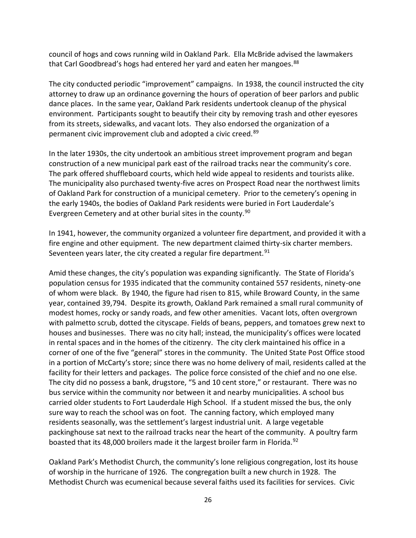council of hogs and cows running wild in Oakland Park. Ella McBride advised the lawmakers that Carl Goodbread's hogs had entered her yard and eaten her mangoes.<sup>88</sup>

The city conducted periodic "improvement" campaigns. In 1938, the council instructed the city attorney to draw up an ordinance governing the hours of operation of beer parlors and public dance places. In the same year, Oakland Park residents undertook cleanup of the physical environment. Participants sought to beautify their city by removing trash and other eyesores from its streets, sidewalks, and vacant lots. They also endorsed the organization of a permanent civic improvement club and adopted a civic creed.<sup>89</sup>

In the later 1930s, the city undertook an ambitious street improvement program and began construction of a new municipal park east of the railroad tracks near the community's core. The park offered shuffleboard courts, which held wide appeal to residents and tourists alike. The municipality also purchased twenty-five acres on Prospect Road near the northwest limits of Oakland Park for construction of a municipal cemetery. Prior to the cemetery's opening in the early 1940s, the bodies of Oakland Park residents were buried in Fort Lauderdale's Evergreen Cemetery and at other burial sites in the county.<sup>90</sup>

In 1941, however, the community organized a volunteer fire department, and provided it with a fire engine and other equipment. The new department claimed thirty-six charter members. Seventeen years later, the city created a regular fire department.  $91$ 

Amid these changes, the city's population was expanding significantly. The State of Florida's population census for 1935 indicated that the community contained 557 residents, ninety-one of whom were black. By 1940, the figure had risen to 815, while Broward County, in the same year, contained 39,794. Despite its growth, Oakland Park remained a small rural community of modest homes, rocky or sandy roads, and few other amenities. Vacant lots, often overgrown with palmetto scrub, dotted the cityscape. Fields of beans, peppers, and tomatoes grew next to houses and businesses. There was no city hall; instead, the municipality's offices were located in rental spaces and in the homes of the citizenry. The city clerk maintained his office in a corner of one of the five "general" stores in the community. The United State Post Office stood in a portion of McCarty's store; since there was no home delivery of mail, residents called at the facility for their letters and packages. The police force consisted of the chief and no one else. The city did no possess a bank, drugstore, "5 and 10 cent store," or restaurant. There was no bus service within the community nor between it and nearby municipalities. A school bus carried older students to Fort Lauderdale High School. If a student missed the bus, the only sure way to reach the school was on foot. The canning factory, which employed many residents seasonally, was the settlement's largest industrial unit. A large vegetable packinghouse sat next to the railroad tracks near the heart of the community. A poultry farm boasted that its 48,000 broilers made it the largest broiler farm in Florida.<sup>92</sup>

Oakland Park's Methodist Church, the community's lone religious congregation, lost its house of worship in the hurricane of 1926. The congregation built a new church in 1928. The Methodist Church was ecumenical because several faiths used its facilities for services. Civic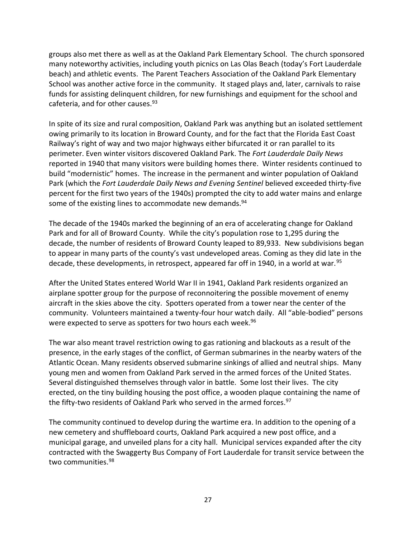groups also met there as well as at the Oakland Park Elementary School. The church sponsored many noteworthy activities, including youth picnics on Las Olas Beach (today's Fort Lauderdale beach) and athletic events. The Parent Teachers Association of the Oakland Park Elementary School was another active force in the community. It staged plays and, later, carnivals to raise funds for assisting delinquent children, for new furnishings and equipment for the school and cafeteria, and for other causes.<sup>93</sup>

In spite of its size and rural composition, Oakland Park was anything but an isolated settlement owing primarily to its location in Broward County, and for the fact that the Florida East Coast Railway's right of way and two major highways either bifurcated it or ran parallel to its perimeter. Even winter visitors discovered Oakland Park. The *Fort Lauderdale Daily News* reported in 1940 that many visitors were building homes there. Winter residents continued to build "modernistic" homes. The increase in the permanent and winter population of Oakland Park (which the *Fort Lauderdale Daily News and Evening Sentinel* believed exceeded thirty-five percent for the first two years of the 1940s) prompted the city to add water mains and enlarge some of the existing lines to accommodate new demands.<sup>94</sup>

The decade of the 1940s marked the beginning of an era of accelerating change for Oakland Park and for all of Broward County. While the city's population rose to 1,295 during the decade, the number of residents of Broward County leaped to 89,933. New subdivisions began to appear in many parts of the county's vast undeveloped areas. Coming as they did late in the decade, these developments, in retrospect, appeared far off in 1940, in a world at war.<sup>95</sup>

After the United States entered World War II in 1941, Oakland Park residents organized an airplane spotter group for the purpose of reconnoitering the possible movement of enemy aircraft in the skies above the city. Spotters operated from a tower near the center of the community. Volunteers maintained a twenty-four hour watch daily. All "able-bodied" persons were expected to serve as spotters for two hours each week.<sup>96</sup>

The war also meant travel restriction owing to gas rationing and blackouts as a result of the presence, in the early stages of the conflict, of German submarines in the nearby waters of the Atlantic Ocean. Many residents observed submarine sinkings of allied and neutral ships. Many young men and women from Oakland Park served in the armed forces of the United States. Several distinguished themselves through valor in battle. Some lost their lives. The city erected, on the tiny building housing the post office, a wooden plaque containing the name of the fifty-two residents of Oakland Park who served in the armed forces.<sup>97</sup>

The community continued to develop during the wartime era. In addition to the opening of a new cemetery and shuffleboard courts, Oakland Park acquired a new post office, and a municipal garage, and unveiled plans for a city hall. Municipal services expanded after the city contracted with the Swaggerty Bus Company of Fort Lauderdale for transit service between the two communities.<sup>98</sup>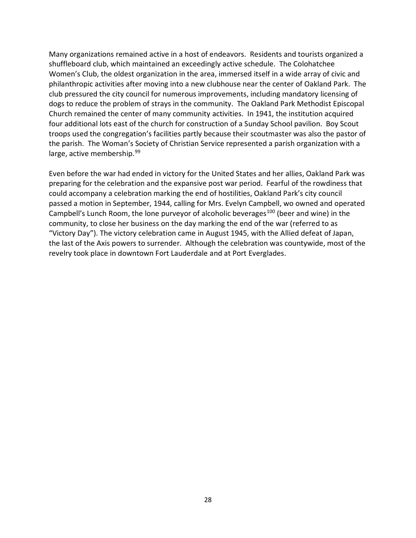Many organizations remained active in a host of endeavors. Residents and tourists organized a shuffleboard club, which maintained an exceedingly active schedule. The Colohatchee Women's Club, the oldest organization in the area, immersed itself in a wide array of civic and philanthropic activities after moving into a new clubhouse near the center of Oakland Park. The club pressured the city council for numerous improvements, including mandatory licensing of dogs to reduce the problem of strays in the community. The Oakland Park Methodist Episcopal Church remained the center of many community activities. In 1941, the institution acquired four additional lots east of the church for construction of a Sunday School pavilion. Boy Scout troops used the congregation's facilities partly because their scoutmaster was also the pastor of the parish. The Woman's Society of Christian Service represented a parish organization with a large, active membership.<sup>99</sup>

Even before the war had ended in victory for the United States and her allies, Oakland Park was preparing for the celebration and the expansive post war period. Fearful of the rowdiness that could accompany a celebration marking the end of hostilities, Oakland Park's city council passed a motion in September, 1944, calling for Mrs. Evelyn Campbell, wo owned and operated Campbell's Lunch Room, the lone purveyor of alcoholic beverages<sup>100</sup> (beer and wine) in the community, to close her business on the day marking the end of the war (referred to as "Victory Day"). The victory celebration came in August 1945, with the Allied defeat of Japan, the last of the Axis powers to surrender. Although the celebration was countywide, most of the revelry took place in downtown Fort Lauderdale and at Port Everglades.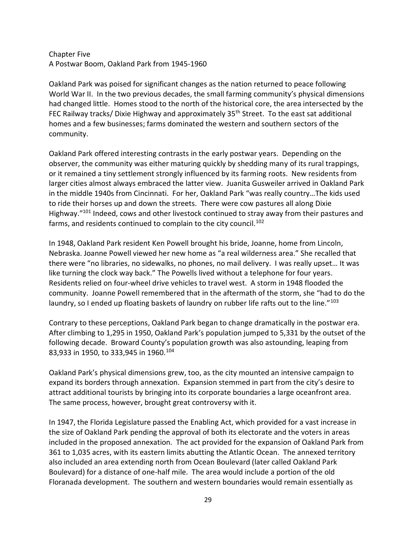#### Chapter Five A Postwar Boom, Oakland Park from 1945-1960

Oakland Park was poised for significant changes as the nation returned to peace following World War II. In the two previous decades, the small farming community's physical dimensions had changed little. Homes stood to the north of the historical core, the area intersected by the FEC Railway tracks/ Dixie Highway and approximately 35<sup>th</sup> Street. To the east sat additional homes and a few businesses; farms dominated the western and southern sectors of the community.

Oakland Park offered interesting contrasts in the early postwar years. Depending on the observer, the community was either maturing quickly by shedding many of its rural trappings, or it remained a tiny settlement strongly influenced by its farming roots. New residents from larger cities almost always embraced the latter view. Juanita Gusweiler arrived in Oakland Park in the middle 1940s from Cincinnati. For her, Oakland Park "was really country…The kids used to ride their horses up and down the streets. There were cow pastures all along Dixie Highway."<sup>101</sup> Indeed, cows and other livestock continued to stray away from their pastures and farms, and residents continued to complain to the city council.<sup>102</sup>

In 1948, Oakland Park resident Ken Powell brought his bride, Joanne, home from Lincoln, Nebraska. Joanne Powell viewed her new home as "a real wilderness area." She recalled that there were "no libraries, no sidewalks, no phones, no mail delivery. I was really upset… It was like turning the clock way back." The Powells lived without a telephone for four years. Residents relied on four-wheel drive vehicles to travel west. A storm in 1948 flooded the community. Joanne Powell remembered that in the aftermath of the storm, she "had to do the laundry, so I ended up floating baskets of laundry on rubber life rafts out to the line."<sup>103</sup>

Contrary to these perceptions, Oakland Park began to change dramatically in the postwar era. After climbing to 1,295 in 1950, Oakland Park's population jumped to 5,331 by the outset of the following decade. Broward County's population growth was also astounding, leaping from 83,933 in 1950, to 333,945 in 1960.<sup>104</sup>

Oakland Park's physical dimensions grew, too, as the city mounted an intensive campaign to expand its borders through annexation. Expansion stemmed in part from the city's desire to attract additional tourists by bringing into its corporate boundaries a large oceanfront area. The same process, however, brought great controversy with it.

In 1947, the Florida Legislature passed the Enabling Act, which provided for a vast increase in the size of Oakland Park pending the approval of both its electorate and the voters in areas included in the proposed annexation. The act provided for the expansion of Oakland Park from 361 to 1,035 acres, with its eastern limits abutting the Atlantic Ocean. The annexed territory also included an area extending north from Ocean Boulevard (later called Oakland Park Boulevard) for a distance of one-half mile. The area would include a portion of the old Floranada development. The southern and western boundaries would remain essentially as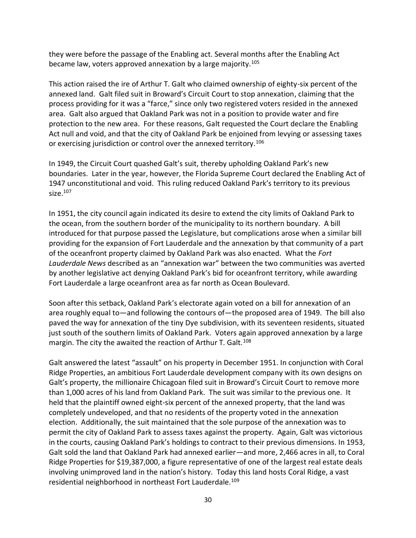they were before the passage of the Enabling act. Several months after the Enabling Act became law, voters approved annexation by a large majority.<sup>105</sup>

This action raised the ire of Arthur T. Galt who claimed ownership of eighty-six percent of the annexed land. Galt filed suit in Broward's Circuit Court to stop annexation, claiming that the process providing for it was a "farce," since only two registered voters resided in the annexed area. Galt also argued that Oakland Park was not in a position to provide water and fire protection to the new area. For these reasons, Galt requested the Court declare the Enabling Act null and void, and that the city of Oakland Park be enjoined from levying or assessing taxes or exercising jurisdiction or control over the annexed territory.<sup>106</sup>

In 1949, the Circuit Court quashed Galt's suit, thereby upholding Oakland Park's new boundaries. Later in the year, however, the Florida Supreme Court declared the Enabling Act of 1947 unconstitutional and void. This ruling reduced Oakland Park's territory to its previous size.<sup>107</sup>

In 1951, the city council again indicated its desire to extend the city limits of Oakland Park to the ocean, from the southern border of the municipality to its northern boundary. A bill introduced for that purpose passed the Legislature, but complications arose when a similar bill providing for the expansion of Fort Lauderdale and the annexation by that community of a part of the oceanfront property claimed by Oakland Park was also enacted. What the *Fort Lauderdale News* described as an "annexation war" between the two communities was averted by another legislative act denying Oakland Park's bid for oceanfront territory, while awarding Fort Lauderdale a large oceanfront area as far north as Ocean Boulevard.

Soon after this setback, Oakland Park's electorate again voted on a bill for annexation of an area roughly equal to—and following the contours of—the proposed area of 1949. The bill also paved the way for annexation of the tiny Dye subdivision, with its seventeen residents, situated just south of the southern limits of Oakland Park. Voters again approved annexation by a large margin. The city the awaited the reaction of Arthur T. Galt.<sup>108</sup>

Galt answered the latest "assault" on his property in December 1951. In conjunction with Coral Ridge Properties, an ambitious Fort Lauderdale development company with its own designs on Galt's property, the millionaire Chicagoan filed suit in Broward's Circuit Court to remove more than 1,000 acres of his land from Oakland Park. The suit was similar to the previous one. It held that the plaintiff owned eight-six percent of the annexed property, that the land was completely undeveloped, and that no residents of the property voted in the annexation election. Additionally, the suit maintained that the sole purpose of the annexation was to permit the city of Oakland Park to assess taxes against the property. Again, Galt was victorious in the courts, causing Oakland Park's holdings to contract to their previous dimensions. In 1953, Galt sold the land that Oakland Park had annexed earlier—and more, 2,466 acres in all, to Coral Ridge Properties for \$19,387,000, a figure representative of one of the largest real estate deals involving unimproved land in the nation's history. Today this land hosts Coral Ridge, a vast residential neighborhood in northeast Fort Lauderdale.<sup>109</sup>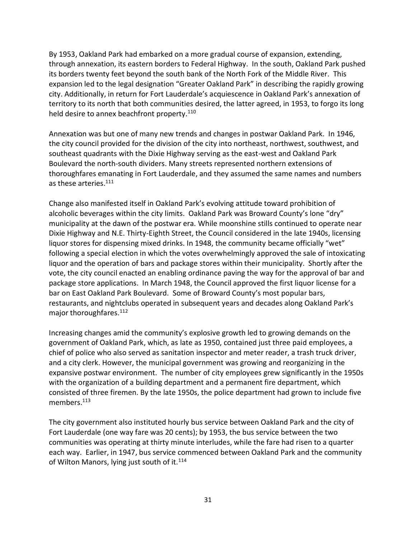By 1953, Oakland Park had embarked on a more gradual course of expansion, extending, through annexation, its eastern borders to Federal Highway. In the south, Oakland Park pushed its borders twenty feet beyond the south bank of the North Fork of the Middle River. This expansion led to the legal designation "Greater Oakland Park" in describing the rapidly growing city. Additionally, in return for Fort Lauderdale's acquiescence in Oakland Park's annexation of territory to its north that both communities desired, the latter agreed, in 1953, to forgo its long held desire to annex beachfront property.<sup>110</sup>

Annexation was but one of many new trends and changes in postwar Oakland Park. In 1946, the city council provided for the division of the city into northeast, northwest, southwest, and southeast quadrants with the Dixie Highway serving as the east-west and Oakland Park Boulevard the north-south dividers. Many streets represented northern extensions of thoroughfares emanating in Fort Lauderdale, and they assumed the same names and numbers as these arteries.<sup>111</sup>

Change also manifested itself in Oakland Park's evolving attitude toward prohibition of alcoholic beverages within the city limits. Oakland Park was Broward County's lone "dry" municipality at the dawn of the postwar era. While moonshine stills continued to operate near Dixie Highway and N.E. Thirty-Eighth Street, the Council considered in the late 1940s, licensing liquor stores for dispensing mixed drinks. In 1948, the community became officially "wet" following a special election in which the votes overwhelmingly approved the sale of intoxicating liquor and the operation of bars and package stores within their municipality. Shortly after the vote, the city council enacted an enabling ordinance paving the way for the approval of bar and package store applications. In March 1948, the Council approved the first liquor license for a bar on East Oakland Park Boulevard. Some of Broward County's most popular bars, restaurants, and nightclubs operated in subsequent years and decades along Oakland Park's major thoroughfares.<sup>112</sup>

Increasing changes amid the community's explosive growth led to growing demands on the government of Oakland Park, which, as late as 1950, contained just three paid employees, a chief of police who also served as sanitation inspector and meter reader, a trash truck driver, and a city clerk. However, the municipal government was growing and reorganizing in the expansive postwar environment. The number of city employees grew significantly in the 1950s with the organization of a building department and a permanent fire department, which consisted of three firemen. By the late 1950s, the police department had grown to include five members.<sup>113</sup>

The city government also instituted hourly bus service between Oakland Park and the city of Fort Lauderdale (one way fare was 20 cents); by 1953, the bus service between the two communities was operating at thirty minute interludes, while the fare had risen to a quarter each way. Earlier, in 1947, bus service commenced between Oakland Park and the community of Wilton Manors, lying just south of it.<sup>114</sup>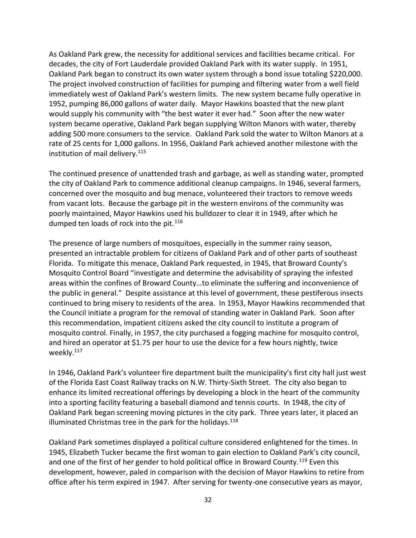As Oakland Park grew, the necessity for additional services and facilities became critical. For decades, the city of Fort Lauderdale provided Oakland Park with its water supply. In 1951, Oakland Park began to construct its own water system through a bond issue totaling \$220,000. The project involved construction of facilities for pumping and filtering water from a well field immediately west of Oakland Park's western limits. The new system became fully operative in 1952, pumping 86,000 gallons of water daily. Mayor Hawkins boasted that the new plant would supply his community with "the best water it ever had." Soon after the new water system became operative, Oakland Park began supplying Wilton Manors with water, thereby adding 500 more consumers to the service. Oakland Park sold the water to Wilton Manors at a rate of 25 cents for 1,000 gallons. In 1956, Oakland Park achieved another milestone with the institution of mail delivery.<sup>115</sup>

The continued presence of unattended trash and garbage, as well as standing water, prompted the city of Oakland Park to commence additional cleanup campaigns. In 1946, several farmers, concerned over the mosquito and bug menace, volunteered their tractors to remove weeds from vacant lots. Because the garbage pit in the western environs of the community was poorly maintained, Mayor Hawkins used his bulldozer to clear it in 1949, after which he dumped ten loads of rock into the pit. $116$ 

The presence of large numbers of mosquitoes, especially in the summer rainy season, presented an intractable problem for citizens of Oakland Park and of other parts of southeast Florida. To mitigate this menace, Oakland Park requested, in 1945, that Broward County's Mosquito Control Board "investigate and determine the advisability of spraying the infested areas within the confines of Broward County…to eliminate the suffering and inconvenience of the public in general." Despite assistance at this level of government, these pestiferous insects continued to bring misery to residents of the area. In 1953, Mayor Hawkins recommended that the Council initiate a program for the removal of standing water in Oakland Park. Soon after this recommendation, impatient citizens asked the city council to institute a program of mosquito control. Finally, in 1957, the city purchased a fogging machine for mosquito control, and hired an operator at \$1.75 per hour to use the device for a few hours nightly, twice weekly.<sup>117</sup>

In 1946, Oakland Park's volunteer fire department built the municipality's first city hall just west of the Florida East Coast Railway tracks on N.W. Thirty-Sixth Street. The city also began to enhance its limited recreational offerings by developing a block in the heart of the community into a sporting facility featuring a baseball diamond and tennis courts. In 1948, the city of Oakland Park began screening moving pictures in the city park. Three years later, it placed an illuminated Christmas tree in the park for the holidays. $118$ 

Oakland Park sometimes displayed a political culture considered enlightened for the times. In 1945, Elizabeth Tucker became the first woman to gain election to Oakland Park's city council, and one of the first of her gender to hold political office in Broward County.<sup>119</sup> Even this development, however, paled in comparison with the decision of Mayor Hawkins to retire from office after his term expired in 1947. After serving for twenty-one consecutive years as mayor,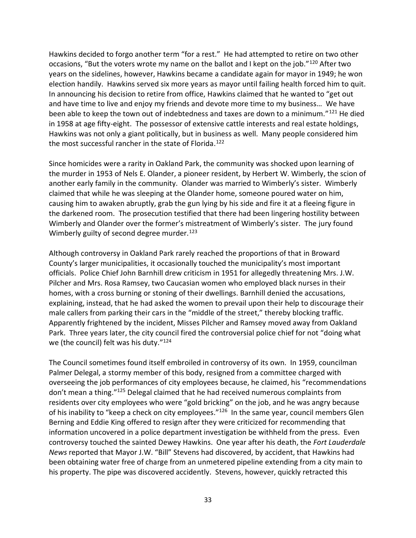Hawkins decided to forgo another term "for a rest." He had attempted to retire on two other occasions, "But the voters wrote my name on the ballot and I kept on the job."<sup>120</sup> After two years on the sidelines, however, Hawkins became a candidate again for mayor in 1949; he won election handily. Hawkins served six more years as mayor until failing health forced him to quit. In announcing his decision to retire from office, Hawkins claimed that he wanted to "get out and have time to live and enjoy my friends and devote more time to my business… We have been able to keep the town out of indebtedness and taxes are down to a minimum."<sup>121</sup> He died in 1958 at age fifty-eight. The possessor of extensive cattle interests and real estate holdings, Hawkins was not only a giant politically, but in business as well. Many people considered him the most successful rancher in the state of Florida.<sup>122</sup>

Since homicides were a rarity in Oakland Park, the community was shocked upon learning of the murder in 1953 of Nels E. Olander, a pioneer resident, by Herbert W. Wimberly, the scion of another early family in the community. Olander was married to Wimberly's sister. Wimberly claimed that while he was sleeping at the Olander home, someone poured water on him, causing him to awaken abruptly, grab the gun lying by his side and fire it at a fleeing figure in the darkened room. The prosecution testified that there had been lingering hostility between Wimberly and Olander over the former's mistreatment of Wimberly's sister. The jury found Wimberly guilty of second degree murder.<sup>123</sup>

Although controversy in Oakland Park rarely reached the proportions of that in Broward County's larger municipalities, it occasionally touched the municipality's most important officials. Police Chief John Barnhill drew criticism in 1951 for allegedly threatening Mrs. J.W. Pilcher and Mrs. Rosa Ramsey, two Caucasian women who employed black nurses in their homes, with a cross burning or stoning of their dwellings. Barnhill denied the accusations, explaining, instead, that he had asked the women to prevail upon their help to discourage their male callers from parking their cars in the "middle of the street," thereby blocking traffic. Apparently frightened by the incident, Misses Pilcher and Ramsey moved away from Oakland Park. Three years later, the city council fired the controversial police chief for not "doing what we (the council) felt was his duty."<sup>124</sup>

The Council sometimes found itself embroiled in controversy of its own. In 1959, councilman Palmer Delegal, a stormy member of this body, resigned from a committee charged with overseeing the job performances of city employees because, he claimed, his "recommendations don't mean a thing."<sup>125</sup> Delegal claimed that he had received numerous complaints from residents over city employees who were "gold bricking" on the job, and he was angry because of his inability to "keep a check on city employees."<sup>126</sup> In the same year, council members Glen Berning and Eddie King offered to resign after they were criticized for recommending that information uncovered in a police department investigation be withheld from the press. Even controversy touched the sainted Dewey Hawkins. One year after his death, the *Fort Lauderdale News* reported that Mayor J.W. "Bill" Stevens had discovered, by accident, that Hawkins had been obtaining water free of charge from an unmetered pipeline extending from a city main to his property. The pipe was discovered accidently. Stevens, however, quickly retracted this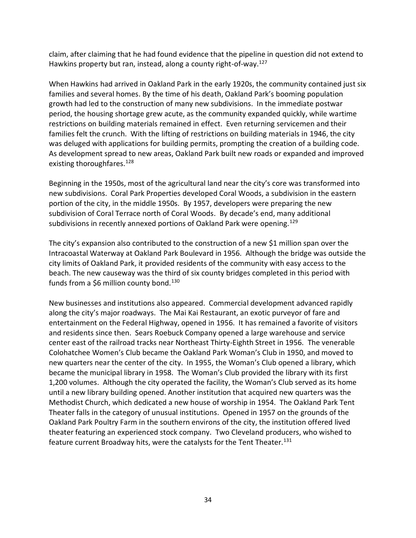claim, after claiming that he had found evidence that the pipeline in question did not extend to Hawkins property but ran, instead, along a county right-of-way.<sup>127</sup>

When Hawkins had arrived in Oakland Park in the early 1920s, the community contained just six families and several homes. By the time of his death, Oakland Park's booming population growth had led to the construction of many new subdivisions. In the immediate postwar period, the housing shortage grew acute, as the community expanded quickly, while wartime restrictions on building materials remained in effect. Even returning servicemen and their families felt the crunch. With the lifting of restrictions on building materials in 1946, the city was deluged with applications for building permits, prompting the creation of a building code. As development spread to new areas, Oakland Park built new roads or expanded and improved existing thoroughfares.<sup>128</sup>

Beginning in the 1950s, most of the agricultural land near the city's core was transformed into new subdivisions. Coral Park Properties developed Coral Woods, a subdivision in the eastern portion of the city, in the middle 1950s. By 1957, developers were preparing the new subdivision of Coral Terrace north of Coral Woods. By decade's end, many additional subdivisions in recently annexed portions of Oakland Park were opening.<sup>129</sup>

The city's expansion also contributed to the construction of a new \$1 million span over the Intracoastal Waterway at Oakland Park Boulevard in 1956. Although the bridge was outside the city limits of Oakland Park, it provided residents of the community with easy access to the beach. The new causeway was the third of six county bridges completed in this period with funds from a \$6 million county bond.<sup>130</sup>

New businesses and institutions also appeared. Commercial development advanced rapidly along the city's major roadways. The Mai Kai Restaurant, an exotic purveyor of fare and entertainment on the Federal Highway, opened in 1956. It has remained a favorite of visitors and residents since then. Sears Roebuck Company opened a large warehouse and service center east of the railroad tracks near Northeast Thirty-Eighth Street in 1956. The venerable Colohatchee Women's Club became the Oakland Park Woman's Club in 1950, and moved to new quarters near the center of the city. In 1955, the Woman's Club opened a library, which became the municipal library in 1958. The Woman's Club provided the library with its first 1,200 volumes. Although the city operated the facility, the Woman's Club served as its home until a new library building opened. Another institution that acquired new quarters was the Methodist Church, which dedicated a new house of worship in 1954. The Oakland Park Tent Theater falls in the category of unusual institutions. Opened in 1957 on the grounds of the Oakland Park Poultry Farm in the southern environs of the city, the institution offered lived theater featuring an experienced stock company. Two Cleveland producers, who wished to feature current Broadway hits, were the catalysts for the Tent Theater.<sup>131</sup>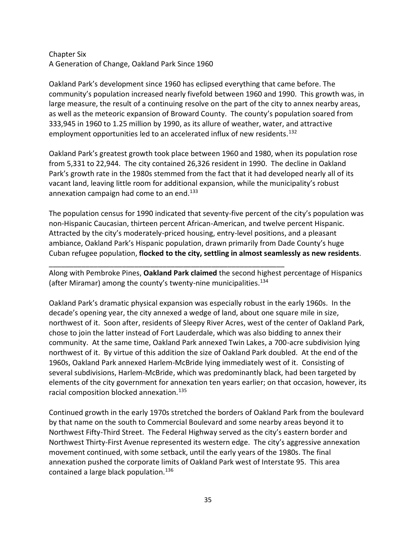# Chapter Six A Generation of Change, Oakland Park Since 1960

Oakland Park's development since 1960 has eclipsed everything that came before. The community's population increased nearly fivefold between 1960 and 1990. This growth was, in large measure, the result of a continuing resolve on the part of the city to annex nearby areas, as well as the meteoric expansion of Broward County. The county's population soared from 333,945 in 1960 to 1.25 million by 1990, as its allure of weather, water, and attractive employment opportunities led to an accelerated influx of new residents.<sup>132</sup>

Oakland Park's greatest growth took place between 1960 and 1980, when its population rose from 5,331 to 22,944. The city contained 26,326 resident in 1990. The decline in Oakland Park's growth rate in the 1980s stemmed from the fact that it had developed nearly all of its vacant land, leaving little room for additional expansion, while the municipality's robust annexation campaign had come to an end. $133$ 

The population census for 1990 indicated that seventy-five percent of the city's population was non-Hispanic Caucasian, thirteen percent African-American, and twelve percent Hispanic. Attracted by the city's moderately-priced housing, entry-level positions, and a pleasant ambiance, Oakland Park's Hispanic population, drawn primarily from Dade County's huge Cuban refugee population, **flocked to the city, settling in almost seamlessly as new residents**.

Along with Pembroke Pines, **Oakland Park claimed** the second highest percentage of Hispanics (after Miramar) among the county's twenty-nine municipalities.<sup>134</sup>

\_\_\_\_\_\_\_\_\_\_\_\_\_\_\_\_\_\_\_\_\_\_\_\_\_\_\_\_\_\_\_\_\_\_\_\_\_\_\_\_\_\_\_\_\_\_\_\_\_\_\_\_\_\_\_\_\_\_

Oakland Park's dramatic physical expansion was especially robust in the early 1960s. In the decade's opening year, the city annexed a wedge of land, about one square mile in size, northwest of it. Soon after, residents of Sleepy River Acres, west of the center of Oakland Park, chose to join the latter instead of Fort Lauderdale, which was also bidding to annex their community. At the same time, Oakland Park annexed Twin Lakes, a 700-acre subdivision lying northwest of it. By virtue of this addition the size of Oakland Park doubled. At the end of the 1960s, Oakland Park annexed Harlem-McBride lying immediately west of it. Consisting of several subdivisions, Harlem-McBride, which was predominantly black, had been targeted by elements of the city government for annexation ten years earlier; on that occasion, however, its racial composition blocked annexation.<sup>135</sup>

Continued growth in the early 1970s stretched the borders of Oakland Park from the boulevard by that name on the south to Commercial Boulevard and some nearby areas beyond it to Northwest Fifty-Third Street. The Federal Highway served as the city's eastern border and Northwest Thirty-First Avenue represented its western edge. The city's aggressive annexation movement continued, with some setback, until the early years of the 1980s. The final annexation pushed the corporate limits of Oakland Park west of Interstate 95. This area contained a large black population.<sup>136</sup>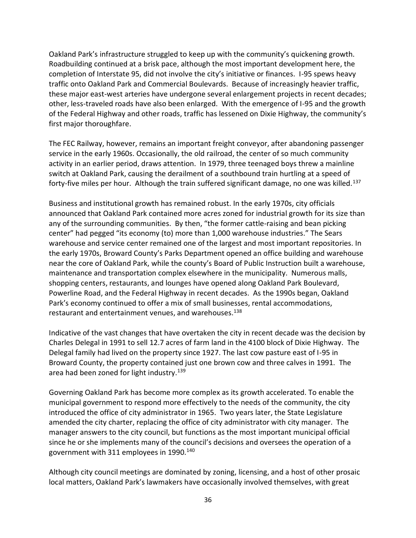Oakland Park's infrastructure struggled to keep up with the community's quickening growth. Roadbuilding continued at a brisk pace, although the most important development here, the completion of Interstate 95, did not involve the city's initiative or finances. I-95 spews heavy traffic onto Oakland Park and Commercial Boulevards. Because of increasingly heavier traffic, these major east-west arteries have undergone several enlargement projects in recent decades; other, less-traveled roads have also been enlarged. With the emergence of I-95 and the growth of the Federal Highway and other roads, traffic has lessened on Dixie Highway, the community's first major thoroughfare.

The FEC Railway, however, remains an important freight conveyor, after abandoning passenger service in the early 1960s. Occasionally, the old railroad, the center of so much community activity in an earlier period, draws attention. In 1979, three teenaged boys threw a mainline switch at Oakland Park, causing the derailment of a southbound train hurtling at a speed of forty-five miles per hour. Although the train suffered significant damage, no one was killed.<sup>137</sup>

Business and institutional growth has remained robust. In the early 1970s, city officials announced that Oakland Park contained more acres zoned for industrial growth for its size than any of the surrounding communities. By then, "the former cattle-raising and bean picking center" had pegged "its economy (to) more than 1,000 warehouse industries." The Sears warehouse and service center remained one of the largest and most important repositories. In the early 1970s, Broward County's Parks Department opened an office building and warehouse near the core of Oakland Park, while the county's Board of Public Instruction built a warehouse, maintenance and transportation complex elsewhere in the municipality. Numerous malls, shopping centers, restaurants, and lounges have opened along Oakland Park Boulevard, Powerline Road, and the Federal Highway in recent decades. As the 1990s began, Oakland Park's economy continued to offer a mix of small businesses, rental accommodations, restaurant and entertainment venues, and warehouses.<sup>138</sup>

Indicative of the vast changes that have overtaken the city in recent decade was the decision by Charles Delegal in 1991 to sell 12.7 acres of farm land in the 4100 block of Dixie Highway. The Delegal family had lived on the property since 1927. The last cow pasture east of I-95 in Broward County, the property contained just one brown cow and three calves in 1991. The area had been zoned for light industry.<sup>139</sup>

Governing Oakland Park has become more complex as its growth accelerated. To enable the municipal government to respond more effectively to the needs of the community, the city introduced the office of city administrator in 1965. Two years later, the State Legislature amended the city charter, replacing the office of city administrator with city manager. The manager answers to the city council, but functions as the most important municipal official since he or she implements many of the council's decisions and oversees the operation of a government with 311 employees in 1990.<sup>140</sup>

Although city council meetings are dominated by zoning, licensing, and a host of other prosaic local matters, Oakland Park's lawmakers have occasionally involved themselves, with great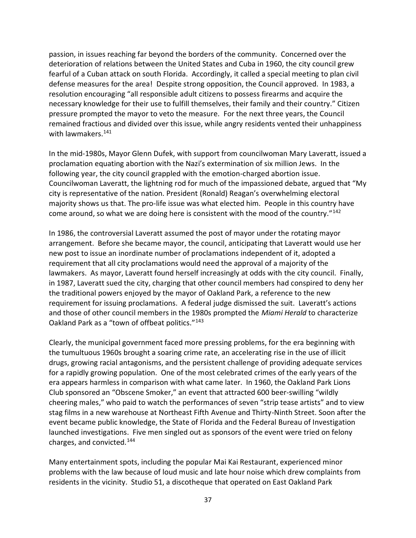passion, in issues reaching far beyond the borders of the community. Concerned over the deterioration of relations between the United States and Cuba in 1960, the city council grew fearful of a Cuban attack on south Florida. Accordingly, it called a special meeting to plan civil defense measures for the area! Despite strong opposition, the Council approved. In 1983, a resolution encouraging "all responsible adult citizens to possess firearms and acquire the necessary knowledge for their use to fulfill themselves, their family and their country." Citizen pressure prompted the mayor to veto the measure. For the next three years, the Council remained fractious and divided over this issue, while angry residents vented their unhappiness with lawmakers.<sup>141</sup>

In the mid-1980s, Mayor Glenn Dufek, with support from councilwoman Mary Laveratt, issued a proclamation equating abortion with the Nazi's extermination of six million Jews. In the following year, the city council grappled with the emotion-charged abortion issue. Councilwoman Laveratt, the lightning rod for much of the impassioned debate, argued that "My city is representative of the nation. President (Ronald) Reagan's overwhelming electoral majority shows us that. The pro-life issue was what elected him. People in this country have come around, so what we are doing here is consistent with the mood of the country."<sup>142</sup>

In 1986, the controversial Laveratt assumed the post of mayor under the rotating mayor arrangement. Before she became mayor, the council, anticipating that Laveratt would use her new post to issue an inordinate number of proclamations independent of it, adopted a requirement that all city proclamations would need the approval of a majority of the lawmakers. As mayor, Laveratt found herself increasingly at odds with the city council. Finally, in 1987, Laveratt sued the city, charging that other council members had conspired to deny her the traditional powers enjoyed by the mayor of Oakland Park, a reference to the new requirement for issuing proclamations. A federal judge dismissed the suit. Laveratt's actions and those of other council members in the 1980s prompted the *Miami Herald* to characterize Oakland Park as a "town of offbeat politics."<sup>143</sup>

Clearly, the municipal government faced more pressing problems, for the era beginning with the tumultuous 1960s brought a soaring crime rate, an accelerating rise in the use of illicit drugs, growing racial antagonisms, and the persistent challenge of providing adequate services for a rapidly growing population. One of the most celebrated crimes of the early years of the era appears harmless in comparison with what came later. In 1960, the Oakland Park Lions Club sponsored an "Obscene Smoker," an event that attracted 600 beer-swilling "wildly cheering males," who paid to watch the performances of seven "strip tease artists" and to view stag films in a new warehouse at Northeast Fifth Avenue and Thirty-Ninth Street. Soon after the event became public knowledge, the State of Florida and the Federal Bureau of Investigation launched investigations. Five men singled out as sponsors of the event were tried on felony charges, and convicted.<sup>144</sup>

Many entertainment spots, including the popular Mai Kai Restaurant, experienced minor problems with the law because of loud music and late hour noise which drew complaints from residents in the vicinity. Studio 51, a discotheque that operated on East Oakland Park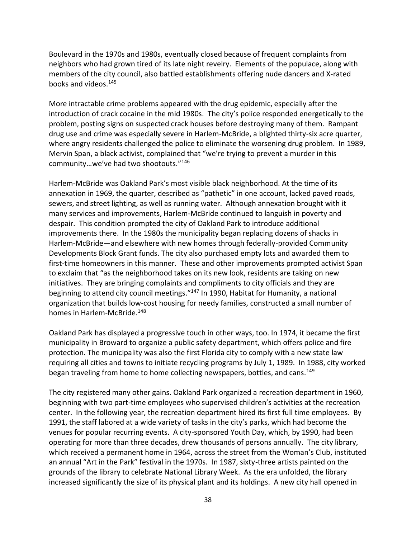Boulevard in the 1970s and 1980s, eventually closed because of frequent complaints from neighbors who had grown tired of its late night revelry. Elements of the populace, along with members of the city council, also battled establishments offering nude dancers and X-rated books and videos.<sup>145</sup>

More intractable crime problems appeared with the drug epidemic, especially after the introduction of crack cocaine in the mid 1980s. The city's police responded energetically to the problem, posting signs on suspected crack houses before destroying many of them. Rampant drug use and crime was especially severe in Harlem-McBride, a blighted thirty-six acre quarter, where angry residents challenged the police to eliminate the worsening drug problem. In 1989, Mervin Span, a black activist, complained that "we're trying to prevent a murder in this community…we've had two shootouts."<sup>146</sup>

Harlem-McBride was Oakland Park's most visible black neighborhood. At the time of its annexation in 1969, the quarter, described as "pathetic" in one account, lacked paved roads, sewers, and street lighting, as well as running water. Although annexation brought with it many services and improvements, Harlem-McBride continued to languish in poverty and despair. This condition prompted the city of Oakland Park to introduce additional improvements there. In the 1980s the municipality began replacing dozens of shacks in Harlem-McBride—and elsewhere with new homes through federally-provided Community Developments Block Grant funds. The city also purchased empty lots and awarded them to first-time homeowners in this manner. These and other improvements prompted activist Span to exclaim that "as the neighborhood takes on its new look, residents are taking on new initiatives. They are bringing complaints and compliments to city officials and they are beginning to attend city council meetings."<sup>147</sup> In 1990, Habitat for Humanity, a national organization that builds low-cost housing for needy families, constructed a small number of homes in Harlem-McBride.<sup>148</sup>

Oakland Park has displayed a progressive touch in other ways, too. In 1974, it became the first municipality in Broward to organize a public safety department, which offers police and fire protection. The municipality was also the first Florida city to comply with a new state law requiring all cities and towns to initiate recycling programs by July 1, 1989. In 1988, city worked began traveling from home to home collecting newspapers, bottles, and cans.<sup>149</sup>

The city registered many other gains. Oakland Park organized a recreation department in 1960, beginning with two part-time employees who supervised children's activities at the recreation center. In the following year, the recreation department hired its first full time employees. By 1991, the staff labored at a wide variety of tasks in the city's parks, which had become the venues for popular recurring events. A city-sponsored Youth Day, which, by 1990, had been operating for more than three decades, drew thousands of persons annually. The city library, which received a permanent home in 1964, across the street from the Woman's Club, instituted an annual "Art in the Park" festival in the 1970s. In 1987, sixty-three artists painted on the grounds of the library to celebrate National Library Week. As the era unfolded, the library increased significantly the size of its physical plant and its holdings. A new city hall opened in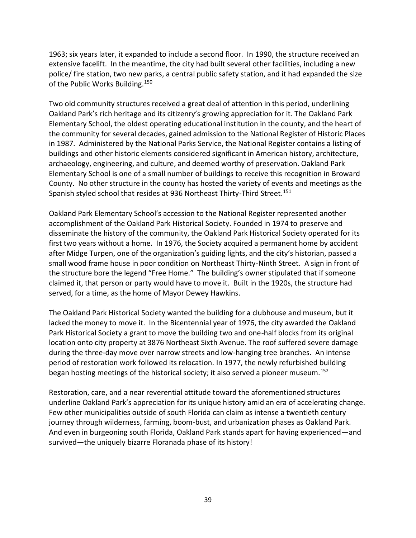1963; six years later, it expanded to include a second floor. In 1990, the structure received an extensive facelift. In the meantime, the city had built several other facilities, including a new police/ fire station, two new parks, a central public safety station, and it had expanded the size of the Public Works Building.<sup>150</sup>

Two old community structures received a great deal of attention in this period, underlining Oakland Park's rich heritage and its citizenry's growing appreciation for it. The Oakland Park Elementary School, the oldest operating educational institution in the county, and the heart of the community for several decades, gained admission to the National Register of Historic Places in 1987. Administered by the National Parks Service, the National Register contains a listing of buildings and other historic elements considered significant in American history, architecture, archaeology, engineering, and culture, and deemed worthy of preservation. Oakland Park Elementary School is one of a small number of buildings to receive this recognition in Broward County. No other structure in the county has hosted the variety of events and meetings as the Spanish styled school that resides at 936 Northeast Thirty-Third Street.<sup>151</sup>

Oakland Park Elementary School's accession to the National Register represented another accomplishment of the Oakland Park Historical Society. Founded in 1974 to preserve and disseminate the history of the community, the Oakland Park Historical Society operated for its first two years without a home. In 1976, the Society acquired a permanent home by accident after Midge Turpen, one of the organization's guiding lights, and the city's historian, passed a small wood frame house in poor condition on Northeast Thirty-Ninth Street. A sign in front of the structure bore the legend "Free Home." The building's owner stipulated that if someone claimed it, that person or party would have to move it. Built in the 1920s, the structure had served, for a time, as the home of Mayor Dewey Hawkins.

The Oakland Park Historical Society wanted the building for a clubhouse and museum, but it lacked the money to move it. In the Bicentennial year of 1976, the city awarded the Oakland Park Historical Society a grant to move the building two and one-half blocks from its original location onto city property at 3876 Northeast Sixth Avenue. The roof suffered severe damage during the three-day move over narrow streets and low-hanging tree branches. An intense period of restoration work followed its relocation. In 1977, the newly refurbished building began hosting meetings of the historical society; it also served a pioneer museum.<sup>152</sup>

Restoration, care, and a near reverential attitude toward the aforementioned structures underline Oakland Park's appreciation for its unique history amid an era of accelerating change. Few other municipalities outside of south Florida can claim as intense a twentieth century journey through wilderness, farming, boom-bust, and urbanization phases as Oakland Park. And even in burgeoning south Florida, Oakland Park stands apart for having experienced—and survived—the uniquely bizarre Floranada phase of its history!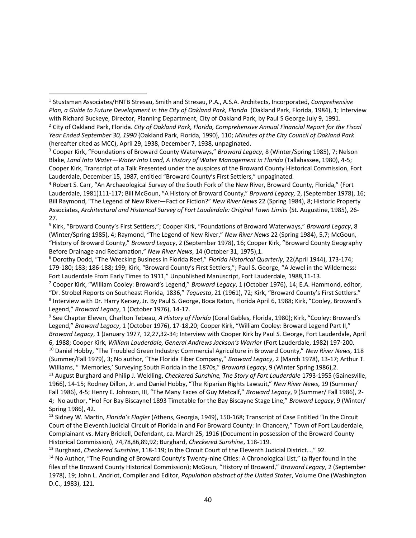*Year Ended September 30, 1990* (Oakland Park, Florida, 1990), 110; *Minutes of the City Council of Oakland Park* (hereafter cited as MCC), April 29, 1938, December 7, 1938, unpaginated.

 $\overline{a}$ 

<sup>3</sup> Cooper Kirk, "Foundations of Broward County Waterways," *Broward Legacy*, 8 (Winter/Spring 1985), 7; Nelson Blake, *Land Into Water—Water Into Land, A History of Water Management in Florida* (Tallahassee, 1980), 4-5; Cooper Kirk, Transcript of a Talk Presented under the auspices of the Broward County Historical Commission, Fort Lauderdale, December 15, 1987, entitled "Broward County's First Settlers," unpaginated.

<sup>4</sup> Robert S. Carr, "An Archaeological Survey of the South Fork of the New River, Broward County, Florida," (Fort Lauderdale, 1981)111-117; Bill McGoun, "A History of Broward County," *Broward Legacy,* 2, (September 1978), 16; Bill Raymond, "The Legend of New River—Fact or Fiction?" *New River News* 22 (Spring 1984), 8; Historic Property Associates, *Architectural and Historical Survey of Fort Lauderdale: Original Town Limits* (St. Augustine, 1985), 26- 27.

<sup>5</sup> Kirk, "Broward County's First Settlers,"; Cooper Kirk, "Foundations of Broward Waterways," *Broward Legacy*, 8 (Winter/Spring 1985), 4; Raymond, "The Legend of New River," *New River News* 22 (Spring 1984), 5,7; McGoun, "History of Broward County," *Broward Legacy*, 2 (September 1978), 16; Cooper Kirk, "Broward County Geography Before Drainage and Reclamation," *New River News*, 14 (October 31, 1975),1.

<sup>6</sup> Dorothy Dodd, "The Wrecking Business in Florida Reef," *Florida Historical Quarterly*, 22(April 1944), 173-174; 179-180; 183; 186-188; 199; Kirk, "Broward County's First Settlers,"; Paul S. George, "A Jewel in the Wilderness: Fort Lauderdale From Early Times to 1911," Unpublished Manuscript, Fort Lauderdale, 1988,11-13.

<sup>7</sup> Cooper Kirk, "William Cooley: Broward's Legend," *Broward Legacy*, 1 (October 1976), 14; E.A. Hammond, editor, "Dr. Strobel Reports on Southeast Florida, 1836," *Tequesta*, 21 (1961), 72; Kirk, "Broward County's First Settlers." 8 Interview with Dr. Harry Kersey, Jr. By Paul S. George, Boca Raton, Florida April 6, 1988; Kirk, "Cooley, Broward's Legend," *Broward Legacy*, 1 (October 1976), 14-17.

9 See Chapter Eleven, Charlton Tebeau, *A History of Florida* (Coral Gables, Florida, 1980); Kirk, "Cooley: Broward's Legend," *Broward Legacy*, 1 (October 1976), 17-18,20; Cooper Kirk, "William Cooley: Broward Legend Part II," *Broward Legacy*, 1 (January 1977, 12,27,32-34; Interview with Cooper Kirk by Paul S. George, Fort Lauderdale, April 6, 1988; Cooper Kirk, *William Lauderdale, General Andrews Jackson's Warrior* (Fort Lauderdale, 1982) 197-200. <sup>10</sup> Daniel Hobby, "The Troubled Green Industry: Commercial Agriculture in Broward County," *New River News*, 118

(Summer/Fall 1979), 3; No author, "The Florida Fiber Company," *Broward Legacy*, 2 (March 1978), 13-17; Arthur T. Williams, " 'Memories,' Surveying South Florida in the 1870s," *Broward Legacy*, 9 (Winter Spring 1986),2.

<sup>11</sup> August Burghard and Philip J. Weidling, *Checkered Sunshine, The Story of Fort Lauderdale* 1793-1955 (Gainesville, 1966), 14-15; Rodney Dillon, Jr. and Daniel Hobby, "The Riparian Rights Lawsuit," *New River News*, 19 (Summer/ Fall 1986), 4-5; Henry E. Johnson, III, "The Many Faces of Guy Metcalf," *Broward Legacy*, 9 (Summer/ Fall 1986), 2- 4; No author, "Ho! For Bay Biscayne! 1893 Timetable for the Bay Biscayne Stage Line," *Broward Legacy*, 9 (Winter/ Spring 1986), 42.

<sup>12</sup> Sidney W. Martin, *Florida's Flagler* (Athens, Georgia, 1949), 150-168; Transcript of Case Entitled "In the Circuit Court of the Eleventh Judicial Circuit of Florida in and For Broward County: In Chancery," Town of Fort Lauderdale, Complainant vs. Mary Brickell, Defendant, ca. March 25, 1916 (Document in possession of the Broward County Historical Commission), 74,78,86,89,92; Burghard, *Checkered Sunshine*, 118-119.

<sup>13</sup> Burghard, *Checkered Sunshine*, 118-119; In the Circuit Court of the Eleventh Judicial District…," 92.

<sup>14</sup> No Author, "The Founding of Broward County's Twenty-nine Cities: A Chronological List," (a flyer found in the files of the Broward County Historical Commission); McGoun, "History of Broward," *Broward Legacy*, 2 (September 1978), 19; John L. Andriot, Compiler and Editor, *Population abstract of the United States*, Volume One (Washington D.C., 1983), 121.

<sup>1</sup> Stustsman Associates/HNTB Stresau, Smith and Stresau, P.A., A.S.A. Architects, Incorporated, *Comprehensive*  Plan, a Guide to Future Development in the City of Oakland Park, Florida (Oakland Park, Florida, 1984), 1; Interview with Richard Buckeye, Director, Planning Department, City of Oakland Park, by Paul S George July 9, 1991. <sup>2</sup> City of Oakland Park, Florida. *City of Oakland Park, Florida, Comprehensive Annual Financial Report for the Fiscal*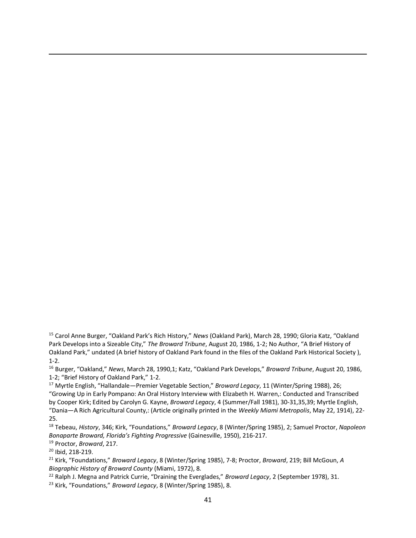<sup>15</sup> Carol Anne Burger, "Oakland Park's Rich History," *News* (Oakland Park), March 28, 1990; Gloria Katz, "Oakland Park Develops into a Sizeable City," *The Broward Tribune*, August 20, 1986, 1-2; No Author, "A Brief History of Oakland Park," undated (A brief history of Oakland Park found in the files of the Oakland Park Historical Society ), 1-2.

<sup>16</sup> Burger, "Oakland," *News*, March 28, 1990,1; Katz, "Oakland Park Develops," *Broward Tribune*, August 20, 1986, 1-2; "Brief History of Oakland Park," 1-2.

<sup>17</sup> Myrtle English, "Hallandale—Premier Vegetable Section," *Broward Legacy*, 11 (Winter/Spring 1988), 26; "Growing Up in Early Pompano: An Oral History Interview with Elizabeth H. Warren,: Conducted and Transcribed by Cooper Kirk; Edited by Carolyn G. Kayne, *Broward Legacy*, 4 (Summer/Fall 1981), 30-31,35,39; Myrtle English, "Dania—A Rich Agricultural County,: (Article originally printed in the *Weekly Miami Metropolis*, May 22, 1914), 22- 25.

<sup>18</sup> Tebeau, *History*, 346; Kirk, "Foundations," *Broward Legacy*, 8 (Winter/Spring 1985), 2; Samuel Proctor, *Napoleon Bonaparte Broward, Florida's Fighting Progressive* (Gainesville, 1950), 216-217.

<sup>19</sup> Proctor, *Broward*, 217.

<sup>20</sup> Ibid, 218-219.

 $\overline{\phantom{a}}$ 

<sup>21</sup> Kirk, "Foundations," *Broward Legacy*, 8 (Winter/Spring 1985), 7-8; Proctor, *Broward*, 219; Bill McGoun, *A Biographic History of Broward County* (Miami, 1972), 8.

<sup>22</sup> Ralph J. Megna and Patrick Currie, "Draining the Everglades," *Broward Legacy*, 2 (September 1978), 31.

<sup>23</sup> Kirk, "Foundations," *Broward Legacy*, 8 (Winter/Spring 1985), 8.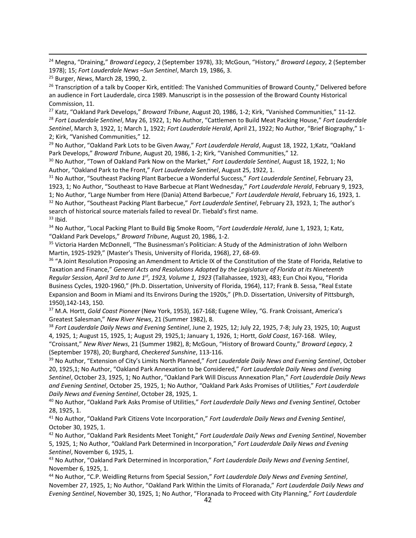<sup>24</sup> Megna, "Draining," *Broward Legacy*, 2 (September 1978), 33; McGoun, "History," *Broward Legacy*, 2 (September 1978); 15; *Fort Lauderdale News –Sun Sentinel*, March 19, 1986, 3.

 $\overline{\phantom{a}}$ 

<sup>26</sup> Transcription of a talk by Cooper Kirk, entitled: The Vanished Communities of Broward County," Delivered before an audience in Fort Lauderdale, circa 1989. Manuscript is in the possession of the Broward County Historical Commission, 11.

<sup>27</sup> Katz, "Oakland Park Develops," *Broward Tribune*, August 20, 1986, 1-2; Kirk, "Vanished Communities," 11-12. <sup>28</sup> *Fort Lauderdale Sentinel*, May 26, 1922, 1; No Author, "Cattlemen to Build Meat Packing House," *Fort Lauderdale Sentinel*, March 3, 1922, 1; March 1, 1922; *Fort Lauderdale Herald*, April 21, 1922; No Author, "Brief Biography," 1- 2; Kirk, "Vanished Communities," 12.

<sup>29</sup> No Author, "Oakland Park Lots to be Given Away," *Fort Lauderdale Herald*, August 18, 1922, 1;Katz, "Oakland Park Develops," *Broward Tribune*, August 20, 1986, 1-2; Kirk, "Vanished Communities," 12.

<sup>30</sup> No Author, "Town of Oakland Park Now on the Market," *Fort Lauderdale Sentinel*, August 18, 1922, 1; No Author, "Oakland Park to the Front," *Fort Lauderdale Sentinel*, August 25, 1922, 1.

<sup>31</sup> No Author, "Southeast Packing Plant Barbecue a Wonderful Success," *Fort Lauderdale Sentinel*, February 23, 1923, 1; No Author, "Southeast to Have Barbecue at Plant Wednesday," *Fort Lauderdale Herald*, February 9, 1923, 1; No Author, "Large Number from Here (Dania) Attend Barbecue," *Fort Lauderdale Herald*, February 16, 1923, 1. <sup>32</sup> No Author, "Southeast Packing Plant Barbecue," *Fort Lauderdale Sentinel*, February 23, 1923, 1; The author's search of historical source materials failed to reveal Dr. Tiebald's first name.  $33$  Ibid.

<sup>34</sup> No Author, "Local Packing Plant to Build Big Smoke Room, "*Fort Lauderdale Herald*, June 1, 1923, 1; Katz, "Oakland Park Develops," *Broward Tribune*, August 20, 1986, 1-2.

<sup>35</sup> Victoria Harden McDonnell, "The Businessman's Politician: A Study of the Administration of John Welborn Martin, 1925-1929," (Master's Thesis, University of Florida, 1968), 27, 68-69.

<sup>36</sup> "A Joint Resolution Proposing an Amendment to Article IX of the Constitution of the State of Florida, Relative to Taxation and Finance," *General Acts and Resolutions Adopted by the Legislature of Florida at its Nineteenth Regular Session, April 3rd to June 1st, 1923, Volume 1, 1923* (Tallahassee, 1923), 483; Eun Choi Kyou, "Florida Business Cycles, 1920-1960," (Ph.D. Dissertation, University of Florida, 1964), 117; Frank B. Sessa, "Real Estate Expansion and Boom in Miami and Its Environs During the 1920s," (Ph.D. Dissertation, University of Pittsburgh, 1950),142-143, 150.

<sup>37</sup> M.A. Hortt, *Gold Coast Pioneer* (New York, 1953), 167-168; Eugene Wiley, "G. Frank Croissant, America's Greatest Salesman," *New River News*, 21 (Summer 1982), 8.

<sup>38</sup> *Fort Lauderdale Daily News and Evening Sentinel*, June 2, 1925, 12; July 22, 1925, 7-8; July 23, 1925, 10; August 4, 1925, 1; August 15, 1925, 1; August 29, 1925,1; January 1, 1926, 1; Hortt, *Gold Coast*, 167-168. Wiley, "Croissant," *New River News*, 21 (Summer 1982), 8; McGoun, "History of Broward County," *Broward Legacy*, 2 (September 1978), 20; Burghard, *Checkered Sunshine*, 113-116.

<sup>39</sup> No Author, "Extension of City's Limits North Planned," *Fort Lauderdale Daily News and Evening Sentinel*, October 20, 1925,1; No Author, "Oakland Park Annexation to be Considered," *Fort Lauderdale Daily News and Evening Sentinel*, October 23, 1925, 1; No Author, "Oakland Park Will Discuss Annexation Plan," *Fort Lauderdale Daily News and Evening Sentinel*, October 25, 1925, 1; No Author, "Oakland Park Asks Promises of Utilities," *Fort Lauderdale Daily News and Evening Sentinel*, October 28, 1925, 1.

<sup>40</sup> No Author, "Oakland Park Asks Promise of Utilities," *Fort Lauderdale Daily News and Evening Sentinel*, October 28, 1925, 1.

<sup>41</sup> No Author, "Oakland Park Citizens Vote Incorporation," *Fort Lauderdale Daily News and Evening Sentinel*, October 30, 1925, 1.

<sup>42</sup> No Author, "Oakland Park Residents Meet Tonight," *Fort Lauderdale Daily News and Evening Sentinel*, November 5, 1925, 1; No Author, "Oakland Park Determined in Incorporation," *Fort Lauderdale Daily News and Evening Sentinel*, November 6, 1925, 1.

<sup>43</sup> No Author, "Oakland Park Determined in Incorporation," *Fort Lauderdale Daily News and Evening Sentinel*, November 6, 1925, 1.

<sup>44</sup> No Author, "C.P. Weidling Returns from Special Session," *Fort Lauderdale Daly News and Evening Sentinel*, November 27, 1925, 1; No Author, "Oakland Park Within the Limits of Floranada," *Fort Lauderdale Daily News and Evening Sentinel*, November 30, 1925, 1; No Author, "Floranada to Proceed with City Planning," *Fort Lauderdale* 

<sup>25</sup> Burger, *News*, March 28, 1990, 2.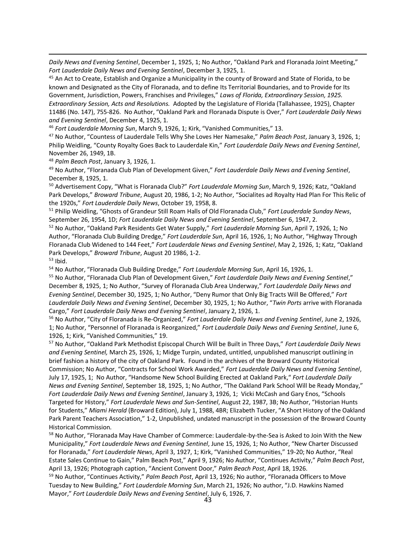*Daily News and Evening Sentinel*, December 1, 1925, 1; No Author, "Oakland Park and Floranada Joint Meeting," *Fort Lauderdale Daily News and Evening Sentinel*, December 3, 1925, 1.

<sup>45</sup> An Act to Create, Establish and Organize a Municipality in the county of Broward and State of Florida, to be known and Designated as the City of Floranada, and to define Its Territorial Boundaries, and to Provide for Its Government, Jurisdiction, Powers, Franchises and Privileges," *Laws of Florida, Extraordinary Session, 1925. Extraordinary Session, Acts and Resolutions.* Adopted by the Legislature of Florida (Tallahassee, 1925), Chapter 11486 (No. 147), 755-826. No Author, "Oakland Park and Floranada Dispute is Over," *Fort Lauderdale Daily News and Evening Sentinel*, December 4, 1925, 1.

<sup>46</sup> *Fort Lauderdale Morning Sun*, March 9, 1926, 1; Kirk, "Vanished Communities," 13.

<sup>47</sup> No Author, "Countess of Lauderdale Tells Why She Loves Her Namesake," *Palm Beach Post*, January 3, 1926, 1; Philip Weidling, "County Royalty Goes Back to Lauderdale Kin," *Fort Lauderdale Daily News and Evening Sentinel*, November 26, 1949, 1B.

<sup>48</sup> *Palm Beach Post*, January 3, 1926, 1.

 $\overline{\phantom{a}}$ 

<sup>49</sup> No Author, "Floranada Club Plan of Development Given," *Fort Lauderdale Daily News and Evening Sentinel*, December 8, 1925, 1.

<sup>50</sup> Advertisement Copy, "What is Floranada Club?" *Fort Lauderdale Morning Sun*, March 9, 1926; Katz, "Oakland Park Develops," *Broward Tribune*, August 20, 1986, 1-2; No Author, "Socialites ad Royalty Had Plan For This Relic of the 1920s," *Fort Lauderdale Daily News*, October 19, 1958, 8.

<sup>51</sup> Philip Weidling, "Ghosts of Grandeur Still Roam Halls of Old Floranada Club," *Fort Lauderdale Sunday News*, September 26, 1954, 1D; *Fort Lauderdale Daily News and Evening Sentinel*, September 6, 1947, 2.

<sup>52</sup> No Author, "Oakland Park Residents Get Water Supply," *Fort Lauderdale Morning Sun*, April 7, 1926, 1; No Author, "Floranada Club Building Dredge," *Fort Lauderdale Sun*, April 16, 1926, 1; No Author, "Highway Through Floranada Club Widened to 144 Feet," *Fort Lauderdale News and Evening Sentinel*, May 2, 1926, 1; Katz, "Oakland Park Develops," *Broward Tribune*, August 20 1986, 1-2.  $53$  Ibid.

<sup>54</sup> No Author, "Floranada Club Building Dredge," *Fort Lauderdale Morning Sun*, April 16, 1926, 1.

<sup>55</sup> No Author, "Floranada Club Plan of Development Given," *Fort Lauderdale Daily News and Evening Sentinel*," December 8, 1925, 1; No Author, "Survey of Floranada Club Area Underway," *Fort Lauderdale Daily News and Evening Sentinel*, December 30, 1925, 1; No Author, "Deny Rumor that Only Big Tracts Will Be Offered," *Fort Lauderdale Daily News and Evening Sentinel*, December 30, 1925, 1; No Author, "*Twin Ports* arrive with Floranada Cargo," *Fort Lauderdale Daily News and Evening Sentinel*, January 2, 1926, 1.

<sup>56</sup> No Author, "City of Floranada is Re-Organized," *Fort Lauderdale Daily News and Evening Sentinel*, June 2, 1926, 1; No Author, "Personnel of Floranada is Reorganized," *Fort Lauderdale Daily News and Evening Sentinel*, June 6, 1926, 1; Kirk, "Vanished Communities," 19.

<sup>57</sup> No Author, "Oakland Park Methodist Episcopal Church Will be Built in Three Days," *Fort Lauderdale Daily News and Evening Sentinel,* March 25, 1926, 1; Midge Turpin, undated, untitled, unpublished manuscript outlining in brief fashion a history of the city of Oakland Park. Found in the archives of the Broward County Historical Commission; No Author, "Contracts for School Work Awarded," *Fort Lauderdale Daily News and Evening Sentinel*, July 17, 1925, 1; No Author, "Handsome New School Building Erected at Oakland Park," *Fort Lauderdale Daily News and Evening Sentinel*, September 18, 1925, 1; No Author, "The Oakland Park School Will be Ready Monday," *Fort Lauderdale Daily News and Evening Sentinel*, January 3, 1926, 1; Vicki McCash and Gary Enos, "Schools Targeted for History," *Fort Lauderdale News and Sun-Sentinel*, August 22, 1987, 3B; No Author, "Historian Hunts for Students," *Miami Herald* (Broward Edition), July 1, 1988, 4BR; Elizabeth Tucker, "A Short History of the Oakland Park Parent Teachers Association," 1-2, Unpublished, undated manuscript in the possession of the Broward County Historical Commission.

<sup>58</sup> No Author, "Floranada May Have Chamber of Commerce: Lauderdale-by-the-Sea is Asked to Join With the New Municipality," *Fort Lauderdale News and Evening Sentinel*, June 15, 1926, 1; No Author, "New Charter Discussed for Floranada," *Fort Lauderdale News*, April 3, 1927, 1; Kirk, "Vanished Communities," 19-20; No Author, "Real Estate Sales Continue to Gain," Palm Beach Post," April 9, 1926; No Author, "Continues Activity," *Palm Beach Post*, April 13, 1926; Photograph caption, "Ancient Convent Door," *Palm Beach Post*, April 18, 1926.

<sup>59</sup> No Author, "Continues Activity," *Palm Beach Post*, April 13, 1926; No author, "Floranada Officers to Move Tuesday to New Building," *Fort Lauderdale Morning Sun*, March 21, 1926; No author, "J.D. Hawkins Named Mayor," *Fort Lauderdale Daily News and Evening Sentinel*, July 6, 1926, 7.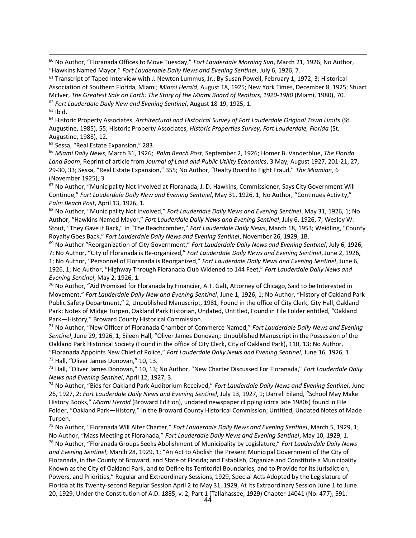<sup>60</sup> No Author, "Floranada Offices to Move Tuesday," *Fort Lauderdale Morning Sun*, March 21, 1926; No Author, "Hawkins Named Mayor," *Fort Lauderdale Daily News and Evening Sentinel*, July 6, 1926, 7.

<sup>61</sup> Transcript of Taped Interview with J. Newton Lummus, Jr., By Susan Powell, February 1, 1972, 3; Historical Association of Southern Florida, Miami; *Miami Herald*, August 18, 1925; New York Times, December 8, 1925; Stuart McIver, *The Greatest Sale on Earth: The Story of the Miami Board of Realtors, 1920-1980* (Miami, 1980), 70. <sup>62</sup> *Fort Lauderdale Daily New and Evening Sentinel*, August 18-19, 1925, 1.  $63$  Ibid.

<sup>64</sup> Historic Property Associates, *Architectural and Historical Survey of Fort Lauderdale Original Town Limits* (St. Augustine, 1985), 55; Historic Property Associates, *Historic Properties Survey, Fort Lauderdale, Florida* (St. Augustine, 1988), 12.

<sup>65</sup> Sessa, "Real Estate Expansion," 283.

 $\overline{\phantom{a}}$ 

<sup>66</sup> *Miami Daily News*, March 31, 1926; *Palm Beach Post*, September 2, 1926; Homer B. Vanderblue, *The Florida Land Boom*, Reprint of article from *Journal of Land and Public Utility Economics*, 3 May, August 1927, 201-21, 27, 29-30, 33; Sessa, "Real Estate Expansion," 355; No Author, "Realty Board to Fight Fraud," *The Miamian*, 6 (November 1925), 3.

<sup>67</sup> No Author, "Municipality Not Involved at Floranada, J. D. Hawkins, Commissioner, Says City Government Will Continue," *Fort Lauderdale Daily New and Evening Sentinel*, May 31, 1926, 1; No Author, "Continues Activity," *Palm Beach Post*, April 13, 1926, 1.

<sup>68</sup> No Author, "Municipality Not Involved," *Fort Lauderdale Daily News and Evening Sentinel*, May 31, 1926, 1; No Author, "Hawkins Named Mayor," *Fort Lauderdale Daily News and Evening Sentinel*, July 6, 1926, 7; Wesley W. Stout, "They Gave it Back," in "The Beachcomber," *Fort Lauderdale Daily News*, March 18, 1953; Weidling, "County Royalty Goes Back," *Fort Lauderdale Daily News and Evening Sentinel*, November 26, 1929, 1B.

<sup>69</sup> No Author "Reorganization of City Government," *Fort Lauderdale Daily News and Evening Sentinel*, July 6, 1926, 7; No Author, "City of Floranada is Re-organized," *Fort Lauderdale Daily News and Evening Sentinel*, June 2, 1926, 1; No Author, "Personnel of Floranada is Reorganized," *Fort Lauderdale Daily News and Evening Sentinel*, June 6, 1926, 1; No Author, "Highway Through Floranada Club Widened to 144 Feet," *Fort Lauderdale Daily News and Evening Sentinel*, May 2, 1926, 1.

 $^{70}$  No Author, "Aid Promised for Floranada by Financier, A.T. Galt, Attorney of Chicago, Said to be Interested in Movement," *Fort Lauderdale Daily New and Evening Sentinel*, June 1, 1926, 1; No Author, "History of Oakland Park Public Safety Department," 2, Unpublished Manuscript, 1981, Found in the office of City Clerk, City Hall, Oakland Park; Notes of Midge Turpen, Oakland Park Historian, Undated, Untitled, Found in File Folder entitled, "Oakland Park—History," Broward County Historical Commission.

<sup>71</sup> No Author, "New Officer of Floranada Chamber of Commerce Named," *Fort Lauderdale Daily News and Evening Sentinel*, June 29, 1926, 1; Eileen Hall, "Oliver James Donovan,: Unpublished Manuscript in the Possession of the Oakland Park Historical Society (Found in the office of City Clerk, City of Oakland Park), 110, 13; No Author, "Floranada Appoints New Chief of Police," *Fort Lauderdale Daily News and Evening Sentinel*, June 16, 1926, 1. <sup>72</sup> Hall, "Oliver James Donovan," 10, 13.

<sup>73</sup> Hall, "Oliver James Donovan," 10, 13; No Author, "New Charter Discussed For Floranada," *Fort Lauderdale Daily News and Evening Sentinel*, April 12, 1927, 3.

<sup>74</sup> No Author, "Bids for Oakland Park Auditorium Received," *Fort Lauderdale Daily News and Evening Sentinel*, June 26, 1927, 2; *Fort Lauderdale Daily News and Evening Sentinel*, July 13, 1927, 1; Darrell Eiland, "School May Make History Books," *Miami Herald* (Broward Edition), undated newspaper clipping (circa late 1980s) found in File Folder, "Oakland Park—History," in the Broward County Historical Commission; Untitled, Undated Notes of Made Turpen.

<sup>75</sup> No Author, "Floranada Will Alter Charter," *Fort Lauderdale Daily News and Evening Sentinel*, March 5, 1929, 1; No Author, "Mass Meeting at Floranada," *Fort Lauderdale Daily News and Evening Sentinel*, May 10, 1929, 1. <sup>76</sup> No Author, "Floranada Groups Seeks Abolishment of Municipality by Legislature," *Fort Lauderdale Daily News and Evening Sentinel*, March 28, 1929, 1; "An Act to Abolish the Present Municipal Government of the City of Floranada, in the County of Broward, and State of Florida; and Establish, Organize and Constitute a Municipality Known as the City of Oakland Park, and to Define its Territorial Boundaries, and to Provide for its Jurisdiction, Powers, and Priorities," Regular and Extraordinary Sessions, 1929, Special Acts Adopted by the Legislature of Florida at Its Twenty-second Regular Session April 2 to May 31, 1929, At Its Extraordinary Session June 1 to June 20, 1929, Under the Constitution of A.D. 1885, v. 2, Part 1 (Tallahassee, 1929) Chapter 14041 (No. 477), 591.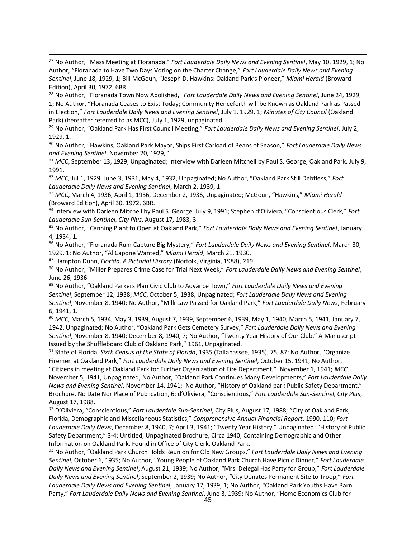$\overline{\phantom{a}}$ <sup>77</sup> No Author, "Mass Meeting at Floranada," *Fort Lauderdale Daily News and Evening Sentinel*, May 10, 1929, 1; No Author, "Floranada to Have Two Days Voting on the Charter Change," *Fort Lauderdale Daily News and Evening Sentinel*, June 18, 1929, 1; Bill McGoun, "Joseph D. Hawkins: Oakland Park's Pioneer," *Miami Herald* (Broward Edition), April 30, 1972, 6BR.

<sup>78</sup> No Author, "Floranada Town Now Abolished," *Fort Lauderdale Daily News and Evening Sentinel*, June 24, 1929, 1; No Author, "Floranada Ceases to Exist Today; Community Henceforth will be Known as Oakland Park as Passed in Election," *Fort Lauderdale Daily News and Evening Sentinel*, July 1, 1929, 1; *Minutes of City Council* (Oakland Park) (hereafter referred to as MCC), July 1, 1929, unpaginated.

<sup>79</sup> No Author, "Oakland Park Has First Council Meeting," *Fort Lauderdale Daily News and Evening Sentinel*, July 2, 1929, 1.

<sup>80</sup> No Author, "Hawkins, Oakland Park Mayor, Ships First Carload of Beans of Season," *Fort Lauderdale Daily News and Evening Sentinel*, November 20, 1929, 1.

<sup>81</sup> *MCC*, September 13, 1929, Unpaginated; Interview with Darleen Mitchell by Paul S. George, Oakland Park, July 9, 1991.

<sup>82</sup> *MCC*, Jul 1, 1929, June 3, 1931, May 4, 1932, Unpaginated; No Author, "Oakland Park Still Debtless," *Fort Lauderdale Daily News and Evening Sentinel*, March 2, 1939, 1.

<sup>83</sup> *MCC*, March 4, 1936, April 1, 1936, December 2, 1936, Unpaginated; McGoun, "Hawkins," *Miami Herald* (Broward Edition), April 30, 1972, 6BR.

<sup>84</sup> Interview with Darleen Mitchell by Paul S. George, July 9, 1991; Stephen d'Oliviera, "Conscientious Clerk," *Fort Lauderdale Sun-Sentinel, City Plus*, August 17, 1983, 3.

<sup>85</sup> No Author, "Canning Plant to Open at Oakland Park," *Fort Lauderdale Daily News and Evening Sentinel*, January 4, 1934, 1.

<sup>86</sup> No Author, "Floranada Rum Capture Big Mystery," *Fort Lauderdale Daily News and Evening Sentinel*, March 30, 1929, 1; No Author, "Al Capone Wanted," *Miami Herald*, March 21, 1930.

<sup>87</sup> Hampton Dunn, *Florida, A Pictorial History* (Norfolk, Virginia, 1988), 219.

<sup>88</sup> No Author, "Miller Prepares Crime Case for Trial Next Week," *Fort Lauderdale Daily News and Evening Sentinel*, June 26, 1936.

<sup>89</sup> No Author, "Oakland Parkers Plan Civic Club to Advance Town," *Fort Lauderdale Daily News and Evening Sentinel*, September 12, 1938; *MCC*, October 5, 1938, Unpaginated; *Fort Lauderdale Daily News and Evening Sentinel*, November 8, 1940; No Author, "Milk Law Passed for Oakland Park," *Fort Lauderdale Daily News*, February 6, 1941, 1.

<sup>90</sup> *MCC*, March 5, 1934, May 3, 1939, August 7, 1939, September 6, 1939, May 1, 1940, March 5, 1941, January 7, 1942, Unpaginated; No Author, "Oakland Park Gets Cemetery Survey," *Fort Lauderdale Daily News and Evening Sentinel*, November 8, 1940; December 8, 1940, 7; No Author, "Twenty Year History of Our Club," A Manuscript Issued by the Shuffleboard Club of Oakland Park," 1961, Unpaginated.

<sup>91</sup> State of Florida, *Sixth Census of the State of Florida*, 1935 (Tallahassee, 1935), 75, 87; No Author, "Organize Firemen at Oakland Park," *Fort Lauderdale Daily News and Evening Sentinel*, October 15, 1941; No Author,

"Citizens in meeting at Oakland Park for Further Organization of Fire Department," November 1, 1941; *MCC*  November 5, 1941, Unpaginated; No Author, "Oakland Park Continues Many Developments," *Fort Lauderdale Daily News and Evening Sentinel*, November 14, 1941; No Author, "History of Oakland park Public Safety Department," Brochure, No Date Nor Place of Publication, 6; d'Oliviera, "Conscientious," *Fort Lauderdale Sun-Sentinel, City Plus*, August 17, 1988.

<sup>92</sup> D'Oliviera, "Conscientious," *Fort Lauderdale Sun-Sentinel*, City Plus, August 17, 1988; "City of Oakland Park, Florida, Demographic and Miscellaneous Statistics," *Comprehensive Annual Financial Report*, 1990, 110; *Fort Lauderdale Daily News*, December 8, 1940, 7; April 3, 1941; "Twenty Year History," Unpaginated; "History of Public Safety Department," 3-4; Untitled, Unpaginated Brochure, Circa 1940, Containing Demographic and Other Information on Oakland Park. Found in Office of City Clerk, Oakland Park.

<sup>93</sup> No Author, "Oakland Park Church Holds Reunion for Old New Groups," *Fort Lauderdale Daily News and Evening Sentinel*, October 6, 1935; No Author, "Young People of Oakland Park Church Have Picnic Dinner," *Fort Lauderdale Daily News and Evening Sentinel*, August 21, 1939; No Author, "Mrs. Delegal Has Party for Group," *Fort Lauderdale Daily News and Evening Sentinel*, September 2, 1939; No Author, "City Donates Permanent Site to Troop," *Fort Lauderdale Daily News and Evening Sentinel*, January 17, 1939, 1; No Author, "Oakland Park Youths Have Barn Party," *Fort Lauderdale Daily News and Evening Sentinel*, June 3, 1939; No Author, "Home Economics Club for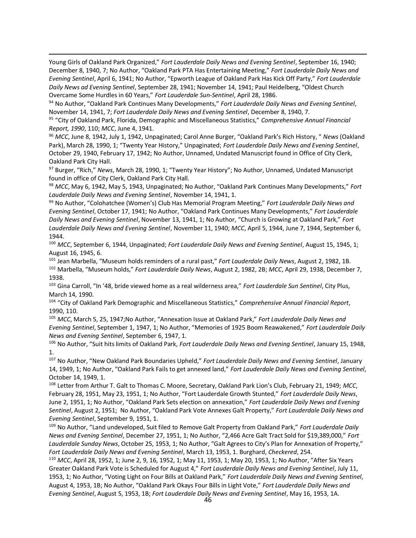Young Girls of Oakland Park Organized," *Fort Lauderdale Daily News and Evening Sentinel*, September 16, 1940; December 8, 1940, 7; No Author, "Oakland Park PTA Has Entertaining Meeting," *Fort Lauderdale Daily News and Evening Sentinel*, April 6, 1941; No Author, "Epworth League of Oakland Park Has Kick Off Party," *Fort Lauderdale Daily News ad Evening Sentinel*, September 28, 1941; November 14, 1941; Paul Heidelberg, "Oldest Church Overcame Some Hurdles in 60 Years," *Fort Lauderdale Sun-Sentinel*, April 28, 1986.

 $\overline{\phantom{a}}$ 

<sup>94</sup> No Author, "Oakland Park Continues Many Developments," *Fort Lauderdale Daily News and Evening Sentinel*, November 14, 1941, 7; *Fort Lauderdale Daily News and Evening Sentinel*, December 8, 1940, 7.

<sup>95</sup> "City of Oakland Park, Florida, Demographic and Miscellaneous Statistics," *Comprehensive Annual Financial Report, 1990*, 110; *MCC*, June 4, 1941.

<sup>96</sup> *MCC*, June 8, 1942, July 1, 1942, Unpaginated; Carol Anne Burger, "Oakland Park's Rich History, " *News* (Oakland Park), March 28, 1990, 1; "Twenty Year History," Unpaginated; *Fort Lauderdale Daily News and Evening Sentinel*, October 29, 1940, February 17, 1942; No Author, Unnamed, Undated Manuscript found in Office of City Clerk, Oakland Park City Hall.

<sup>97</sup> Burger, "Rich," *News*, March 28, 1990, 1; "Twenty Year History"; No Author, Unnamed, Undated Manuscript found in office of City Clerk, Oakland Park City Hall.

<sup>98</sup> *MCC*, May 6, 1942, May 5, 1943, Unpaginated; No Author, "Oakland Park Continues Many Developments," *Fort Lauderdale Daily News and Evening Sentinel*, November 14, 1941, 1.

<sup>99</sup> No Author, "Colohatchee (Women's) Club Has Memorial Program Meeting," *Fort Lauderdale Daily News and Evening Sentinel*, October 17, 1941; No Author, "Oakland Park Continues Many Developments," *Fort Lauderdale Daily News and Evening Sentinel*, November 13, 1941, 1; No Author, "Church is Growing at Oakland Park," *Fort Lauderdale Daily News and Evening Sentinel*, November 11, 1940; *MCC*, April 5, 1944, June 7, 1944, September 6, 1944.

<sup>100</sup> *MCC*, September 6, 1944, Unpaginated; *Fort Lauderdale Daily News and Evening Sentinel*, August 15, 1945, 1; August 16, 1945, 6.

<sup>101</sup> Jean Marbella, "Museum holds reminders of a rural past," *Fort Lauderdale Daily News*, August 2, 1982, 1B. <sup>102</sup> Marbella, "Museum holds," *Fort Lauderdale Daily News*, August 2, 1982, 2B; *MCC*, April 29, 1938, December 7, 1938.

<sup>103</sup> Gina Carroll, "In '48, bride viewed home as a real wilderness area," *Fort Lauderdale Sun Sentinel*, City Plus, March 14, 1990.

<sup>104</sup> "City of Oakland Park Demographic and Miscellaneous Statistics," *Comprehensive Annual Financial Report*, 1990, 110.

<sup>105</sup> *MCC*, March 5, 25, 1947;No Author, "Annexation Issue at Oakland Park," *Fort Lauderdale Daily News and Evening Sentinel*, September 1, 1947, 1; No Author, "Memories of 1925 Boom Reawakened," *Fort Lauderdale Daily News and Evening Sentinel*, September 6, 1947, 1.

<sup>106</sup> No Author, "Suit hits limits of Oakland Park, *Fort Lauderdale Daily News and Evening Sentinel*, January 15, 1948, 1.

<sup>107</sup> No Author, "New Oakland Park Boundaries Upheld," *Fort Lauderdale Daily News and Evening Sentinel*, January 14, 1949, 1; No Author, "Oakland Park Fails to get annexed land," *Fort Lauderdale Daily News and Evening Sentinel*, October 14, 1949, 1.

<sup>108</sup> Letter from Arthur T. Galt to Thomas C. Moore, Secretary, Oakland Park Lion's Club, February 21, 1949; *MCC*, February 28, 1951, May 23, 1951, 1; No Author, "Fort Lauderdale Growth Stunted," *Fort Lauderdale Daily News*, June 2, 1951, 1; No Author, "Oakland Park Sets election on annexation," *Fort Lauderdale Daily News and Evening Sentinel*, August 2, 1951; No Author, "Oakland Park Vote Annexes Galt Property," *Fort Lauderdale Daily News and Evening Sentinel*, September 9, 1951, 1.

<sup>109</sup> No Author, "Land undeveloped, Suit filed to Remove Galt Property from Oakland Park," *Fort Lauderdale Daily News and Evening Sentinel*, December 27, 1951, 1; No Author, "2,466 Acre Galt Tract Sold for \$19,389,000," *Fort Lauderdale Sunday News*, October 25, 1953, 1; No Author, "Galt Agrees to City's Plan for Annexation of Property," *Fort Lauderdale Daily News and Evening Sentinel*, March 13, 1953, 1. Burghard, *Checkered*, 254.

<sup>110</sup> *MCC*, April 28, 1952, 1; June 2, 9, 16, 1952, 1; May 11, 1953, 1; May 20, 1953, 1; No Author, "After Six Years Greater Oakland Park Vote is Scheduled for August 4," *Fort Lauderdale Daily News and Evening Sentinel*, July 11, 1953, 1; No Author, "Voting Light on Four Bills at Oakland Park," *Fort Lauderdale Daily News and Evening Sentinel*, August 4, 1953, 1B; No Author, "Oakland Park Okays Four Bills in Light Vote," *Fort Lauderdale Daily News and Evening Sentinel*, August 5, 1953, 1B; *Fort Lauderdale Daily News and Evening Sentinel*, May 16, 1953, 1A.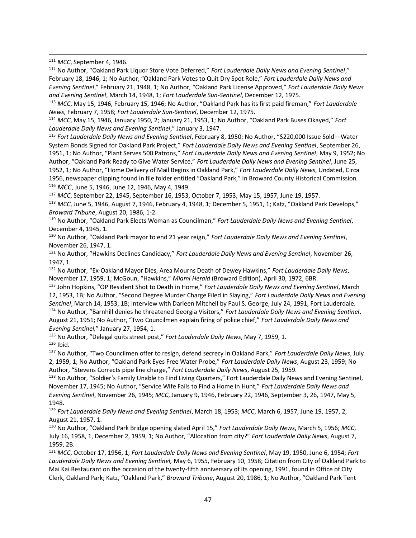<sup>111</sup> *MCC*, September 4, 1946.

 $\overline{\phantom{a}}$ 

<sup>112</sup> No Author, "Oakland Park Liquor Store Vote Deferred," *Fort Lauderdale Daily News and Evening Sentinel*," February 18, 1946, 1; No Author, "Oakland Park Votes to Quit Dry Spot Role," *Fort Lauderdale Daily News and Evening Sentinel*," February 21, 1948, 1; No Author, "Oakland Park License Approved," *Fort Lauderdale Daily News and Evening Sentinel*, March 14, 1948, 1; *Fort Lauderdale Sun-Sentinel*, December 12, 1975.

<sup>113</sup> *MCC*, May 15, 1946, February 15, 1946; No Author, "Oakland Park has its first paid fireman," *Fort Lauderdale News*, February 7, 1958; *Fort Lauderdale Sun-Sentinel*, December 12, 1975.

<sup>114</sup> *MCC*, May 15, 1946, January 1950, 2; January 21, 1953, 1; No Author, "Oakland Park Buses Okayed," *Fort Lauderdale Daily News and Evening Sentinel*," January 3, 1947.

<sup>115</sup> *Fort Lauderdale Daily News and Evening Sentinel*, February 8, 1950; No Author, "\$220,000 Issue Sold—Water System Bonds Signed for Oakland Park Project," *Fort Lauderdale Daily News and Evening Sentinel*, September 26, 1951, 1; No Author, "Plant Serves 500 Patrons," *Fort Lauderdale Daily News and Evening Sentinel*, May 9, 1952; No Author, "Oakland Park Ready to Give Water Service," *Fort Lauderdale Daily News and Evening Sentinel*, June 25, 1952, 1; No Author, "Home Delivery of Mail Begins in Oakland Park," *Fort Lauderdale Daily News*, Undated, Circa 1956, newspaper clipping found in file folder entitled "Oakland Park," in Broward County Historical Commission. <sup>116</sup> *MCC*, June 5, 1946, June 12, 1946, May 4, 1949.

<sup>117</sup> *MCC*, September 22, 1945, September 16, 1953, October 7, 1953, May 15, 1957, June 19, 1957.

<sup>118</sup> *MCC*, June 5, 1946, August 7, 1946, February 4, 1948, 1; December 5, 1951, 1; Katz, "Oakland Park Develops," *Broward Tribune*, August 20, 1986, 1-2.

<sup>119</sup> No Author, "Oakland Park Elects Woman as Councilman," *Fort Lauderdale Daily News and Evening Sentinel*, December 4, 1945, 1.

<sup>120</sup> No Author, "Oakland Park mayor to end 21 year reign," *Fort Lauderdale Daily News and Evening Sentinel*, November 26, 1947, 1.

<sup>121</sup> No Author, "Hawkins Declines Candidacy," *Fort Lauderdale Daily News and Evening Sentinel*, November 26, 1947, 1.

<sup>122</sup> No Author, "Ex-Oakland Mayor Dies, Area Mourns Death of Dewey Hawkins," *Fort Lauderdale Daily News*, November 17, 1959, 1; McGoun, "Hawkins," *Miami Herald* (Broward Edition), April 30, 1972, 6BR.

<sup>123</sup> John Hopkins, "OP Resident Shot to Death in Home," *Fort Lauderdale Daily News and Evening Sentinel*, March 12, 1953, 1B; No Author, "Second Degree Murder Charge Filed in Slaying," *Fort Lauderdale Daily News and Evening Sentinel*, March 14, 1953, 1B; Interview with Darleen Mitchell by Paul S. George, July 24, 1991, Fort Lauderdale. <sup>124</sup> No Author, "Barnhill denies he threatened Georgia Visitors," *Fort Lauderdale Daily News and Evening Sentinel*, August 21, 1951; No Author, "Two Councilmen explain firing of police chief," *Fort Lauderdale Daily News and Evening Sentinel,*" January 27, 1954, 1.

<sup>125</sup> No Author, "Delegal quits street post," *Fort Lauderdale Daily News*, May 7, 1959, 1.  $126$  Ibid.

<sup>127</sup> No Author, "Two Councilmen offer to resign, defend secrecy in Oakland Park," *Fort Lauderdale Daily News*, July 2, 1959, 1; No Author, "Oakland Park Eyes Free Water Probe," *Fort Lauderdale Daily News*, August 23, 1959; No Author, "Stevens Corrects pipe line charge," *Fort Lauderdale Daily News*, August 25, 1959.

<sup>128</sup> No Author, "Soldier's Family Unable to Find Living Quarters," Fort Lauderdale Daily News and Evening Sentinel, November 17, 1945; No Author, "Service Wife Fails to Find a Home in Hunt," *Fort Lauderdale Daily News and Evening Sentinel*, November 26, 1945; *MCC*, January 9, 1946, February 22, 1946, September 3, 26, 1947, May 5, 1948.

<sup>129</sup> *Fort Lauderdale Daily News and Evening Sentinel*, March 18, 1953; *MCC*, March 6, 1957, June 19, 1957, 2, August 21, 1957, 1.

<sup>130</sup> No Author, "Oakland Park Bridge opening slated April 15," *Fort Lauderdale Daily News*, March 5, 1956; *MCC*, July 16, 1958, 1, December 2, 1959, 1; No Author, "Allocation from city?" *Fort Lauderdale Daily News*, August 7, 1959, 2B.

<sup>131</sup> *MCC*, October 17, 1956, 1; *Fort Lauderdale Daily News and Evening Sentinel*, May 19, 1950, June 6, 1954; *Fort Lauderdale Daily News and Evening Sentinel,* May 6, 1955, February 10, 1958; Citation from City of Oakland Park to Mai Kai Restaurant on the occasion of the twenty-fifth anniversary of its opening, 1991, found in Office of City Clerk, Oakland Park; Katz, "Oakland Park," *Broward Tribune*, August 20, 1986, 1; No Author, "Oakland Park Tent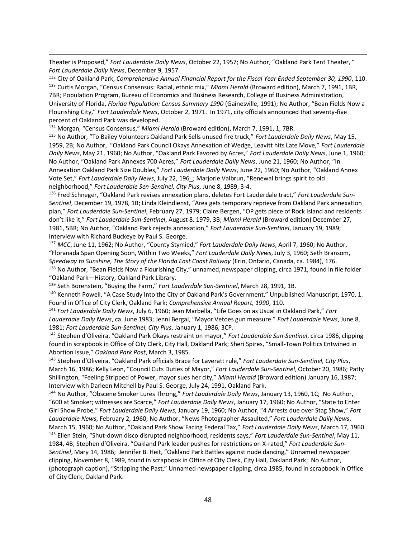Theater is Proposed," *Fort Lauderdale Daily News*, October 22, 1957; No Author, "Oakland Park Tent Theater, " *Fort Lauderdale Daily News*, December 9, 1957.

<sup>132</sup> City of Oakland Park, *Comprehensive Annual Financial Report for the Fiscal Year Ended September 30, 1990*, 110. <sup>133</sup> Curtis Morgan, "Census Consensus: Racial, ethnic mix," *Miami Herald* (Broward edition), March 7, 1991, 1BR, 7BR; Population Program, Bureau of Economics and Business Research, College of Business Administration, University of Florida, *Florida Population: Census Summary 1990* (Gainesville, 1991); No Author, "Bean Fields Now a Flourishing City," *Fort Lauderdale News*, October 2, 1971. In 1971, city officials announced that seventy-five percent of Oakland Park was developed.

<sup>134</sup> Morgan, "Census Consensus," *Miami Herald* (Broward edition), March 7, 1991, 1, 7BR.

 $\overline{\phantom{a}}$ 

<sup>135</sup> No Author, "To Bailey Volunteers Oakland Park Sells unused fire truck," *Fort Lauderdale Daily News*, May 15, 1959, 2B; No Author, "Oakland Park Council Okays Annexation of Wedge, Leavitt hits Late Move," *Fort Lauderdale Daily News*, May 21, 1960; No Author, "Oakland Park Favored by Acres," *Fort Lauderdale Daily News*, June 1, 1960; No Author, "Oakland Park Annexes 700 Acres," *Fort Lauderdale Daily News*, June 21, 1960; No Author, "In Annexation Oakland Park Size Doubles," *Fort Lauderdale Daily News*, June 22, 1960; No Author, "Oakland Annex Vote Set," *Fort Lauderdale Daily News*, July 22, 196\_; Marjorie Valbrun, "Renewal brings spirit to old neighborhood," *Fort Lauderdale Sen-Sentinel, City Plus*, June 8, 1989, 3-4.

<sup>136</sup> Fred Schneger, "Oakland Park revises annexation plans, deletes Fort Lauderdale tract," *Fort Lauderdale Sun-Sentinel*, December 19, 1978, 1B; Linda Kleindienst, "Area gets temporary reprieve from Oakland Park annexation plan," *Fort Lauderdale Sun-Sentinel*, February 27, 1979; Claire Bergen, "OP gets piece of Rock Island and residents don't like it," *Fort Lauderdale Sun-Sentinel*, August 8, 1979, 3B; *Miami Herald* (Broward edition) December 27, 1981, 5BR; No Author, "Oakland Park rejects annexation," *Fort Lauderdale Sun-Sentinel*, January 19, 1989; Interview with Richard Buckeye by Paul S. George.

<sup>137</sup> *MCC*, June 11, 1962; No Author, "County Stymied," *Fort Lauderdale Daily News*, April 7, 1960; No Author, "Floranada Span Opening Soon, Within Two Weeks," *Fort Lauderdale Daily News*, July 3, 1960; Seth Bransom, *Speedway to Sunshine, The Story of the Florida East Coast Railway* (Erin, Ontario, Canada, ca. 1984), 176. <sup>138</sup> No Author, "Bean Fields Now a Flourishing City," unnamed, newspaper clipping, circa 1971, found in file folder "Oakland Park—History, Oakland Park Library.

<sup>139</sup> Seth Borenstein, "Buying the Farm," *Fort Lauderdale Sun-Sentinel*, March 28, 1991, 1B.

<sup>140</sup> Kenneth Powell, "A Case Study Into the City of Oakland Park's Government," Unpublished Manuscript, 1970, 1. Found in Office of City Clerk, Oakland Park; *Comprehensive Annual Report, 1990*, 110.

<sup>141</sup> *Fort Lauderdale Daily News*, July 6, 1960; Jean Marbella, "Life Goes on as Usual in Oakland Park," *Fort Lauderdale Daily News*, ca. June 1983; Jenni Bergal, "Mayor Vetoes gun measure." *Fort Lauderdale News*, June 8, 1981; *Fort Lauderdale Sun-Sentinel, City Plus*, January 1, 1986, 3CP.

<sup>142</sup> Stephen d'Oliveira, "Oakland Park Okays restraint on mayor," *Fort Lauderdale Sun-Sentinel*, circa 1986, clipping found in scrapbook in Office of City Clerk, City Hall, Oakland Park; Sheri Spires, "Small-Town Politics Entwined in Abortion Issue," *Oakland Park Post*, March 3, 1985.

<sup>143</sup> Stephen d'Oliveira, "Oakland Park officials Brace for Laveratt rule," *Fort Lauderdale Sun-Sentinel, City Plus*, March 16, 1986; Kelly Leon, "Council Cuts Duties of Mayor," *Fort Lauderdale Sun-Sentinel*, October 20, 1986; Patty Shillington, "Feeling Stripped of Power, mayor sues her city," *Miami Herald* (Broward edition) January 16, 1987; Interview with Darleen Mitchell by Paul S. George, July 24, 1991, Oakland Park.

<sup>144</sup> No Author, "Obscene Smoker Lures Throng," *Fort Lauderdale Daily News*, January 13, 1960, 1C; No Author, "600 at Smoker; witnesses are Scarce," *Fort Lauderdale Daily News*, January 17, 1960; No Author, "State to Enter Girl Show Probe," *Fort Lauderdale Daily News*, January 19, 1960; No Author, "4 Arrests due over Stag Show," *Fort Lauderdale News*, February 2, 1960; No Author, "News Photographer Assaulted," *Fort Lauderdale Daily News*, March 15, 1960; No Author, "Oakland Park Show Facing Federal Tax," *Fort Lauderdale Daily News*, March 17, 1960. <sup>145</sup> Ellen Stein, "Shut-down disco disrupted neighborhood, residents says," *Fort Lauderdale Sun-Sentinel*, May 11, 1984, 4B; Stephen d'Oliveira, "Oakland Park leader pushes for restrictions on X-rated," *Fort Lauderdale Sun-Sentinel*, Mary 14, 1986; Jennifer B. Heit, "Oakland Park Battles against nude dancing," Unnamed newspaper clipping, November 8, 1989, found in scrapbook in Office of City Clerk, City Hall, Oakland Park; No Author, (photograph caption), "Stripping the Past," Unnamed newspaper clipping, circa 1985, found in scrapbook in Office of City Clerk, Oakland Park.